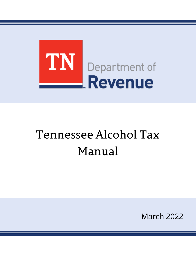

# Tennessee Alcohol Tax Manual

March 2022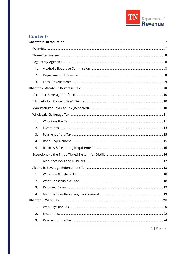

# **Contents**

| 1. |  |
|----|--|
| 2. |  |
| 3. |  |
|    |  |
|    |  |
|    |  |
|    |  |
|    |  |
| 1. |  |
| 2. |  |
| 3. |  |
| 4. |  |
| 5. |  |
|    |  |
| 1. |  |
|    |  |
| 1. |  |
| 2. |  |
| 3. |  |
| 4. |  |
|    |  |
| 1. |  |
| 2. |  |
| 3. |  |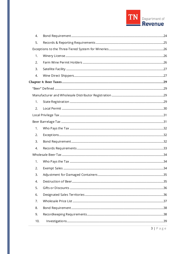

| 4.  |  |
|-----|--|
| 5.  |  |
|     |  |
| 1.  |  |
| 2.  |  |
| 3.  |  |
| 4.  |  |
|     |  |
|     |  |
|     |  |
| 1.  |  |
| 2.  |  |
|     |  |
|     |  |
| 1.  |  |
| 2.  |  |
| 3.  |  |
| 4.  |  |
|     |  |
| 1.  |  |
| 2.  |  |
| 3.  |  |
| 4.  |  |
| 5.  |  |
| 6.  |  |
| 7.  |  |
| 8.  |  |
| 9.  |  |
| 10. |  |
|     |  |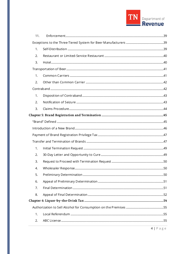

| 11. |  |
|-----|--|
|     |  |
| 1.  |  |
| 2.  |  |
| 3.  |  |
|     |  |
| 1.  |  |
| 2.  |  |
|     |  |
| 1.  |  |
| 2.  |  |
| 3.  |  |
|     |  |
|     |  |
|     |  |
|     |  |
|     |  |
| 1.  |  |
| 2.  |  |
| 3.  |  |
| 4.  |  |
| 5.  |  |
| 6.  |  |
| 7.  |  |
| 8.  |  |
|     |  |
|     |  |
| 1.  |  |
| 2.  |  |
|     |  |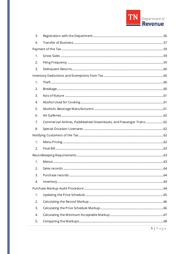

| 3. |                                                                   |  |
|----|-------------------------------------------------------------------|--|
| 4. |                                                                   |  |
|    |                                                                   |  |
| 1. |                                                                   |  |
| 2. |                                                                   |  |
| 3. |                                                                   |  |
|    |                                                                   |  |
| 1. |                                                                   |  |
| 2. |                                                                   |  |
| 3. |                                                                   |  |
| 4. |                                                                   |  |
| 5. |                                                                   |  |
| 6. |                                                                   |  |
| 7. | Commercial Airlines, Paddlewheel Steamboats, and Passenger Trains |  |
| 8. |                                                                   |  |
|    |                                                                   |  |
| 1. |                                                                   |  |
| 2. |                                                                   |  |
|    |                                                                   |  |
| 1. |                                                                   |  |
| 2. |                                                                   |  |
| 3. |                                                                   |  |
| 4. |                                                                   |  |
|    |                                                                   |  |
| 1. |                                                                   |  |
| 2. |                                                                   |  |
| 3. |                                                                   |  |
| 4. |                                                                   |  |
| 5. |                                                                   |  |
|    |                                                                   |  |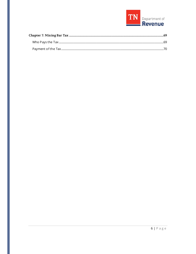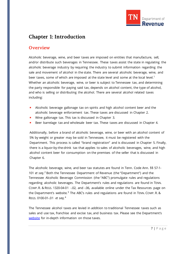

# <span id="page-6-0"></span>**Chapter 1: Introduction**

# <span id="page-6-1"></span>**Overview**

Alcoholic beverage, wine, and beer taxes are imposed on entities that manufacture, sell, and/or distribute such beverages in Tennessee. These taxes assist the state in regulating the alcoholic beverage industry by requiring the industry to submit information regarding the sale and movement of alcohol in the state. There are several alcoholic beverage, wine, and beer taxes, some of which are imposed at the state level and some at the local level.<sup>[1](#page-70-0)</sup> Whether an alcoholic beverage, wine, or beer is subject to Tennessee tax, and determining the party responsible for paying said tax, depends on alcohol content, the type of alcohol, and who is selling or distributing the alcohol. There are several alcohol related taxes including:

- Alcoholic beverage gallonage tax on spirits and high alcohol content beer and the alcoholic beverage enforcement tax. These taxes are discussed in Chapter 2.
- **Wine gallonage tax. This tax is discussed in Chapter 3.**
- Beer barrelage tax and wholesale beer tax. These taxes are discussed in Chapter 4.

Additionally, before a brand of alcoholic beverage, wine, or beer with an alcohol content of 5% by weight or greater may be sold in Tennessee, it must be registered with the Department. This process is called "brand registration" and is discussed in Chapter 5. Finally, there is a liquor-by-the-drink tax that applies to sales of alcoholic beverages, wine, and high alcohol content beer for consumption on the premises of the seller that is discussed in Chapter 6.

The alcoholic beverage, wine, and beer tax statutes are found in Tenn. Code Ann. §§ 57-1- 101 *et seq*. [2](#page-70-1) Both the Tennessee Department of Revenue (the "Department") and the Tennessee Alcoholic Beverage Commission (the "ABC") promulgate rules and regulations regarding alcoholic beverages. The Department's rules and regulations are found in TENN. COMP.R. & REGS. 1320-04-01 -.02, and -.06, available online under the Tax Resources page on the Department's website*.* [3](#page-70-2) The ABC's rules and regulations are found in TENN. COMP. R. & REGS. 0100-01-.01 *et seq.*[4](#page-70-3)

The Tennessee alcohol taxes are levied in addition to traditional Tennessee taxes such as sales and use tax, franchise and excise tax, and business tax. Please see the Department's [website](https://www.tn.gov/revenue) for in-depth information on those taxes.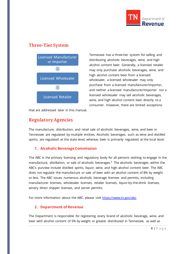

# <span id="page-7-0"></span>**Three-Tier System**



Tennessee has a three-tier system for selling and distributing alcoholic beverages, wine, and high alcohol content beer. Generally, a licensed retailer may only purchase alcoholic beverages, wine, and high alcohol content beer from a licensed wholesaler, a licensed wholesaler may only purchase from a licensed manufacturer/importer, and neither a licensed manufacturer/importer nor a licensed wholesaler may sell alcoholic beverages, wine, and high alcohol content beer directly to a consumer. However, there are limited exceptions

<span id="page-7-1"></span>that are addressed later in this manual.

# **Regulatory Agencies**

The manufacture, distribution, and retail sale of alcoholic beverages, wine, and beer in Tennessee are regulated by multiple entities. Alcoholic beverages, such as wine and distilled spirits, are regulated at the state level, whereas beer is primarily regulated at the local level.

# <span id="page-7-2"></span>**1. Alcoholic Beverage Commission**

The ABC is the primary licensing and regulatory body for all persons wishing to engage in the manufacture, distillation, or sale of alcoholic beverages.<sup>[5](#page-71-0)</sup> The alcoholic beverages within the ABC's purview include distilled spirits, liquor, wine, and high alcohol content beer. The ABC does not regulate the manufacture or sale of beer with an alcohol content of 8% by weight or less. The ABC issues numerous alcoholic beverage licenses and permits, including manufacturer licenses, wholesaler licenses, retailer licenses, liquor-by-the-drink licenses, winery direct shipper licenses, and server permits.

<span id="page-7-3"></span>For more information about the ABC, please visit [https://www.tn.gov/abc.](https://www.tn.gov/abc) 

# **2. Department of Revenue**

The Department is responsible for registering every brand of alcoholic beverage, wine, and beer with alcohol content of 5% by weight or greater distributed in Tennessee, as well as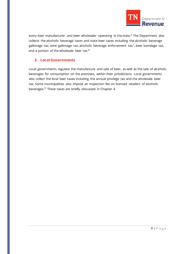

every beer manufacturer and beer wholesaler operating in the state.<sup>[6](#page-72-0)</sup> The Department also collects the alcoholic beverage taxes and state beer taxes including the alcoholic beverage gallonage tax, wine gallonage tax, alcoholic beverage enforcement tax<sup>[7](#page-72-1)</sup>, beer barrelage tax, and a portion of the wholesale beer tax.<sup>[8](#page-72-2)</sup>

#### <span id="page-8-0"></span>**3. Local Governments**

Local governments regulate the manufacture and sale of beer, as well as the sale of alcoholic beverages for consumption on the premises, within their jurisdictions. Local governments also collect the local beer taxes including the annual privilege tax and the wholesale beer tax. Some municipalities also impose an inspection fee on licensed retailers of alcoholic beverages.<sup>[9](#page-72-3)</sup> These taxes are briefly discussed in Chapter 4.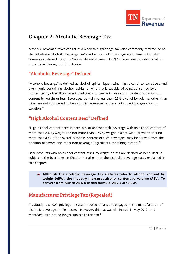

# <span id="page-9-0"></span>**Chapter 2: Alcoholic Beverage Tax**

Alcoholic beverage taxes consist of a wholesale gallonage tax (also commonly referred to as the "wholesale alcoholic beverage tax") and an alcoholic beverage enforcement tax (also commonly referred to as the "wholesale enforcement tax").<sup>[10](#page-73-0)</sup> These taxes are discussed in more detail throughout this chapter.

# <span id="page-9-1"></span>**"Alcoholic Beverage" Defined**

"Alcoholic beverage" is defined as alcohol, spirits, liquor, wine, high alcohol content beer, and every liquid containing alcohol, spirits, or wine that is capable of being consumed by a human being, other than patent medicine and beer with an alcohol content of 8% alcohol content by weight or less. Beverages containing less than 0.5% alcohol by volume, other than wine, are not considered to be alcoholic beverages and are not subject to regulation or taxation.<sup>[11](#page-73-1)</sup>

# <span id="page-9-2"></span>**"High Alcohol Content Beer"Defined**

"High alcohol content beer" is beer, ale, or another malt beverage with an alcohol content of more than 8% by weight and not more than 20% by weight, except wine, provided that no more than 49% of the overall alcoholic content of such beverages may be derived from the addition of flavors and other non-beverage ingredients containing alcohol.<sup>[12](#page-73-2)</sup>

Beer products with an alcohol content of 8% by weight or less are defined as beer. Beer is subject to the beer taxes in Chapter 4, rather than the alcoholic beverage taxes explained in this chapter.

**Although the alcoholic beverage tax statutes refer to alcohol content by weight (ABW), the industry measures alcohol content by volume (ABV). To convert from ABV to ABW use this formula: ABV x .8 = ABW.**

# <span id="page-9-3"></span>**Manufacturer Privilege Tax (Repealed)**

Previously, a \$1,000 privilege tax was imposed on anyone engaged in the manufacturer of alcoholic beverages in Tennessee. However, this tax was eliminated in May 2019, and manufacturers are no longer subject to this tax.<sup>[13](#page-73-3)</sup>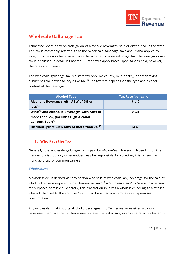

# <span id="page-10-0"></span>**Wholesale Gallonage Tax**

Tennessee levies a tax on each gallon of alcoholic beverages sold or distributed in the state. This tax is commonly referred to as the "wholesale gallonage tax," and, it also applies to wine, thus may also be referred to as the wine tax or wine gallonage tax. The wine gallonage tax is discussed in detail in Chapter 3. Both taxes apply based upon gallons sold, however, the rates are different.

The wholesale gallonage tax is a state tax only. No county, municipality, or other taxing district has the power to levy a like tax.<sup>[14](#page-73-4)</sup> The tax rate depends on the type and alcohol content of the beverage.

| <b>Alcohol Type</b>                                      | Tax Rate (per gallon) |
|----------------------------------------------------------|-----------------------|
| Alcoholic Beverages with ABW of 7% or                    | \$1.10                |
| less <sup>15</sup>                                       |                       |
| Wine <sup>16</sup> and Alcoholic Beverages with ABW of   | \$1.21                |
| more than 7%, (includes High Alcohol                     |                       |
| Content Beer) <sup>17</sup>                              |                       |
| Distilled Spirits with ABW of more than 7% <sup>18</sup> | \$4.40                |

# <span id="page-10-1"></span>**1. Who Pays the Tax**

Generally, the wholesale gallonage tax is paid by *wholesalers*. However, depending on the manner of distribution, other entities may be responsible for collecting this tax such as manufacturers or common carriers.

# *Wholesalers*

A "wholesaler" is defined as "any person who sells at wholesale any beverage for the sale of which a license is required under Tennessee law."<sup>[19](#page-73-9)</sup> A "wholesale sale" is "a sale to a person for purposes of resale." Generally, this transaction involves a wholesaler selling to a retailer who will then sell to the end user/consumer for either on-premises or off-premises consumption.

Any wholesaler that imports alcoholic beverages into Tennessee or receives alcoholic beverages manufactured in Tennessee for eventual retail sale, in any size retail container, or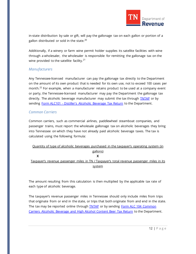

in-state distribution by sale or gift, will pay the gallonage tax on each gallon or portion of a gallon distributed or sold in the state.<sup>[20](#page-73-10)</sup>

Additionally, if a winery or farm wine permit holder supplies its satellite facilities with wine through a wholesaler, the wholesaler is responsible for remitting the gallonage tax on the wine provided to the satellite facility.<sup>[21](#page-73-11)</sup>

#### *Manufacturers*

Any Tennessee-licensed manufacturer can pay the gallonage tax directly to the Department on the amount of its own product that is needed for its own use, not to exceed 100 cases per month.<sup>[22](#page-73-12)</sup> For example, when a manufacturer retains product to be used at a company event or party, the Tennessee-licensed manufacturer may pay the Department the gallonage tax directly. The alcoholic beverage manufacturer may submit the tax through **TNTAP** or by sending Form ALC101 - [Distiller's Alcoholic Beverage Tax Return](https://www.tn.gov/content/dam/tn/revenue/documents/forms/alcohol/alc101_2019.pdf) to the Department.

# *Common Carriers*

Common carriers, such as commercial airlines, paddlewheel steamboat companies, and passenger trains, must report the wholesale gallonage tax on alcoholic beverages they bring into Tennessee on which they have not already paid alcoholic beverage taxes. The tax is calculated using the following formula:

| Quantity of type of alcoholic beverages purchased in the taxpayer's operating system (in   |
|--------------------------------------------------------------------------------------------|
| gallons)                                                                                   |
|                                                                                            |
| Taxpayer's revenue passenger miles in TN / Taxpayer's total revenue passenger miles in its |
| system                                                                                     |

The amount resulting from this calculation is then multiplied by the applicable tax rate of each type of alcoholic beverage.

The taxpayer's revenue passenger miles in Tennessee should only include miles from trips that originate from or end in the state, or trips that both originate from and end in the state. The tax may be reported online through **TNTAP** or by sending Form ALC 104 Common [Carriers Alcoholic Beverage and High Alcohol Content Beer Tax Return](https://www.tn.gov/content/dam/tn/revenue/documents/forms/alcohol/alc104.pdf) to the Department.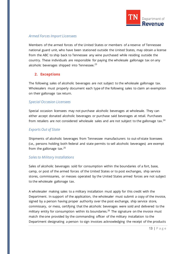

#### *Armed Forces Import Licensees*

Members of the armed forces of the United States or members of a reserve of Tennessee national guard unit, who have been stationed outside the United States, may obtain a license from the ABC to ship back to Tennessee any wine purchased while residing outside the country. These individuals are responsible for paying the wholesale gallonage tax on any alcoholic beverages shipped into Tennessee. $^{23}$  $^{23}$  $^{23}$ 

# <span id="page-12-0"></span>**2. Exceptions**

The following sales of alcoholic beverages are not subject to the wholesale gallonage tax. Wholesalers must properly document each type of the following sales to claim an exemption on their gallonage tax return.

#### *Special Occasion Licensees*

Special occasion licensees may not purchase alcoholic beverages at wholesale. They can either accept donated alcoholic beverages or purchase said beverages at retail. Purchases from retailers are not considered wholesale sales and are not subject to the gallonage tax.<sup>[24](#page-73-14)</sup>

# *Exports Out of State*

Shipments of alcoholic beverages from Tennessee manufacturers to out-of-state licensees (i.e., persons holding both federal and state permits to sell alcoholic beverages) are exempt from the gallonage tax. $25$ 

# *Sales to Military Installations*

Sales of alcoholic beverages sold for consumption within the boundaries of a fort, base, camp, or post of the armed forces of the United States or to post exchanges, ship service stores, commissaries, or messes operated by the United States armed forces are not subject to the wholesale gallonage tax.

A wholesaler making sales to a military installation must apply for this credit with the Department. In support of the application, the wholesaler must submit a copy of the invoice, signed by a person having proper authority over the post exchange, ship service store, commissary, or mess, certifying that the alcoholic beverages were sold and delivered to the military entity for consumption within its boundaries.<sup>[26](#page-73-16)</sup> The signature on the invoice must match the one provided by the commanding officer of the military installation to the Department designating a person to sign invoices acknowledging the receipt of the products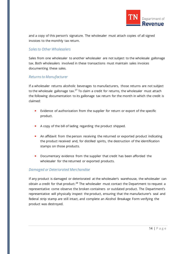

and a copy of this person's signature. The wholesaler must attach copies of all signed invoices to the monthly tax return.

#### *Sales to Other Wholesalers*

Sales from one wholesaler to another wholesaler are not subject to the wholesale gallonage tax. Both wholesalers involved in these transactions must maintain sales invoices documenting these sales.

#### *Returns to Manufacturer*

If a wholesaler returns alcoholic beverages to manufacturers, those returns are not subject to the wholesale gallonage tax.<sup>[27](#page-73-17)</sup> To claim a credit for returns, the wholesaler must attach the following documentation to its gallonage tax return for the month in which the credit is claimed:

- **Exidence of authorization from the supplier for return or export of the specific** product.
- A copy of the bill of lading regarding the product shipped.
- **An affidavit from the person receiving the returned or exported product indicating** the product received and, for distilled spirits, the destruction of the identification stamps on those products.
- Documentary evidence from the supplier that credit has been afforded the wholesaler for the returned or exported products.

#### *Damaged or Deteriorated Merchandise*

If any product is damaged or deteriorated at the wholesaler's warehouse, the wholesaler can obtain a credit for that product.<sup>[28](#page-73-18)</sup> The wholesaler must contact the Department to request a representative come observe the broken containers or outdated product. The Department's representative will physically inspect the product, ensuring that the manufacturer's seal and federal strip stamp are still intact, and complete an Alcohol Breakage Form verifying the product was destroyed.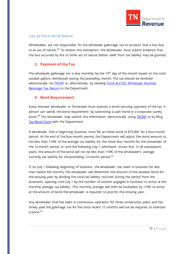

# *Loss by Fire or Act of Nature*

Wholesalers are not responsible for the wholesale gallonage tax on product that is lost due to an act of nature.<sup>[29](#page-73-19)</sup> To receive this exemption, the wholesaler must submit evidence that the loss occurred by fire or other act of nature before relief from tax liability may be granted.

# <span id="page-14-0"></span>**3. Payment of the Tax**

The wholesale gallonage tax is due monthly, by the 15<sup>th</sup> day of the month based on the total taxable gallons distributed during the preceding month. The tax should be remitted electronically via **TNTAP** or, alternatively, by sending **Form ALC102 Wholesale Alcoholic** [Beverage Tax Return t](https://www.tn.gov/content/dam/tn/revenue/documents/forms/alcohol/alc102_2019.pdf)o the Department.

# <span id="page-14-1"></span>**4. Bond Requirement**

Every licensed wholesaler in Tennessee must execute a bond securing payment of the tax. A person can satisfy the bond requirement by submitting a cash bond or a corporate surety bond.<sup>[30](#page-73-20)</sup> The wholesaler may submit this information electronically using **TNTAP** or by filing [Tax Bond Form](https://www.tn.gov/content/dam/tn/revenue/documents/forms/alcohol/alchbevbond.pdf) with the Department.

A wholesaler that is beginning business must file an initial bond of \$75,000 for a four-month period. At the end of the four-month period, the Department will adjust the bond amount to not less than 110% of the average tax liability for the initial four months for the remainder of the 12-month period or until the following July 1, whichever occurs first. In all subsequent years, the amount of the bond will not be less than 110% of the wholesaler's average monthly tax liability for the preceding 12-month period.<sup>[31](#page-73-21)</sup>

If, on July 1 following beginning of business, the wholesaler has been in business for less than twelve full months, the wholesaler will determine the amount of the renewal bond for the ensuing year by dividing the total tax liability incurred during the period from the business's opening until July 1 by the number of months engaged in business to arrive at the monthly average tax liability. This monthly average will then be multiplied by 110% to arrive at the amount of bond the wholesaler is required to post for the ensuing year.

Any wholesaler that has been in continuous operation for three consecutive years and has timely paid the gallonage tax for the most recent 12 months will not be required to maintain a bond. $32$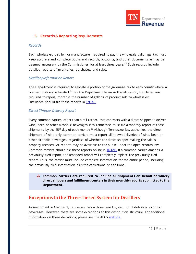

# <span id="page-15-0"></span>**5. Records & Reporting Requirements**

#### *Records*

Each wholesaler, distiller, or manufacturer required to pay the wholesale gallonage tax must keep accurate and complete books and records, accounts, and other documents as may be deemed necessary by the Commissioner for at least three years.<sup>[33](#page-73-23)</sup> Such records include detailed reports of inventories, purchases, and sales.

#### *Distillery Information Report*

The Department is required to allocate a portion of the gallonage tax to each county where a licensed distillery is located.<sup>[34](#page-73-24)</sup> For the Department to make this allocation, distilleries are required to report, monthly, the number of gallons of product sold to wholesalers. Distilleries should file these reports in [TNTAP.](https://tntap.tn.gov/eservices/_/)

#### *Direct Shipper Delivery Report*

Every common carrier, other than a rail carrier, that contracts with a direct shipper to deliver wine, beer, or other alcoholic beverages into Tennessee must file a monthly report of those shipments by the 25<sup>th</sup> day of each month.<sup>[35](#page-73-25)</sup> Although Tennessee law authorizes the direct shipment of wine only, common carriers must report all known deliveries of wine, beer, or other alcoholic beverages, regardless of whether the direct shipper making the sale is properly licensed. All reports may be available to the public under the open records law. Common carriers should file these reports online in **TNTAP**. If a common carrier amends a previously filed report, the amended report will completely replace the previously filed report. Thus, the carrier must include complete information for the entire period, including the previously filed information plus the corrections or additions.

**Common carriers are required to include all shipments on behalf of winery direct shippers and fulfillment centers in their monthly reports submitted to the Department.**

# <span id="page-15-1"></span>**Exceptions to the Three-Tiered System for Distillers**

As mentioned in Chapter 1, Tennessee has a three-tiered system for distributing alcoholic beverages. However, there are some exceptions to this distribution structure. For additional information on these deviations, please see the ABC's [website.](https://www.tn.gov/abc.html)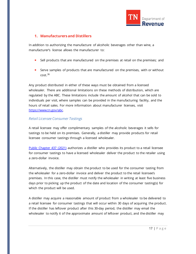

#### <span id="page-16-0"></span>**1. Manufacturers and Distillers**

In addition to authorizing the manufacture of alcoholic beverages other than wine, a manufacturer's license allows the manufacturer to:

- Sell products that are manufactured on the premises at retail on the premises; and
- **Serve samples of products that are manufactured on the premises, with or without**  $cost.<sup>36</sup>$  $cost.<sup>36</sup>$  $cost.<sup>36</sup>$

Any product distributed in either of these ways must be obtained from a licensed wholesaler. There are additional limitations on these methods of distribution, which are regulated by the ABC. These limitations include the amount of alcohol that can be sold to individuals per visit, where samples can be provided in the manufacturing facility, and the hours of retail sales. For more information about manufacturer licenses, visit [https://www.tn.gov/abc.](https://www.tn.gov/abc) 

#### *Retail Licensee Consumer Tastings*

A retail licensee may offer complimentary samples of the alcoholic beverages it sells for tastings to be held on its premises. Generally, a distiller may provide products for retail licensee consumer tastings through a licensed wholesaler.

[Public Chapter 437 \(2021\)](https://publications.tnsosfiles.com/acts/112/pub/pc0437.pdf) authorizes a distiller who provides its product to a retail licensee for consumer tastings to have a licensed wholesaler deliver the product to the retailer using a zero-dollar invoice.

Alternatively, the distiller may obtain the product to be used for the consumer tasting from the wholesaler for a zero-dollar invoice and deliver the product to the retail licensee's premises. In this case, the distiller must notify the wholesaler in writing at least five business days prior to picking up the product of the date and location of the consumer tasting(s) for which the product will be used.

A distiller may acquire a reasonable amount of product from a wholesaler to be delivered to a retail licensee for consumer tastings that will occur within 30 days of acquiring the product. If the distiller has leftover product after this 30-day period, the distiller may email the wholesaler to notify it of the approximate amount of leftover product, and the distiller may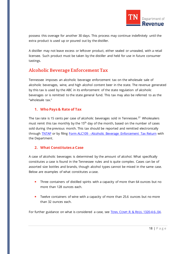

possess this overage for another 30 days. This process may continue indefinitely until the extra product is used up or poured out by the distiller.

A distiller may not leave excess or leftover product, either sealed or unsealed, with a retail licensee. Such product must be taken by the distiller and held for use in future consumer tastings.

# <span id="page-17-0"></span>**Alcoholic BeverageEnforcement Tax**

Tennessee imposes an alcoholic beverage enforcement tax on the wholesale sale of alcoholic beverages, wine, and high alcohol content beer in the state. The revenue generated by this tax is used by the ABC in its enforcement of the state regulation of alcoholic beverages or is remitted to the state general fund. This tax may also be referred to as the "wholesale tax."

# <span id="page-17-1"></span>**1. Who Pays & Rate of Tax**

The tax rate is 15 cents per case of alcoholic beverages sold in Tennessee.<sup>[37](#page-73-27)</sup> Wholesalers must remit this tax monthly by the 15<sup>th</sup> day of the month, based on the number of cases sold during the previous month. This tax should be reported and remitted electronically through [TNTAP](https://tntap.tn.gov/eservices/_/#0) or by filing Form ALC109 - [Alcoholic Beverage Enforcement Tax Return](https://www.tn.gov/content/dam/tn/revenue/documents/forms/alcohol/alc109_2019.pdf) with the Department.

# <span id="page-17-2"></span>**2. What Constitutes a Case**

A case of alcoholic beverages is determined by the amount of alcohol. What specifically constitutes a case is found in the Tennessee rules and is quite complex. Cases can be of assorted size bottles and brands, though alcohol types cannot be mixed in the same case. Below are examples of what constitutes a case.

- **Three containers of distilled spirits with a capacity of more than 64 ounces but no** more than 128 ounces each.
- **T** Twelve containers of wine with a capacity of more than 25.6 ounces but no more than 32 ounces each.

For further guidance on what is considered a case, see TENN. COMP.R. & REGS. [1320-4-6-.04.](https://publications.tnsosfiles.com/rules/1320/1320-04/1320-04-06.pdf)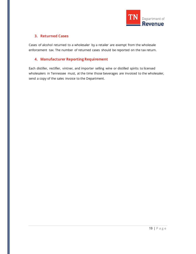

# <span id="page-18-0"></span>**3. Returned Cases**

Cases of alcohol returned to a wholesaler by a retailer are exempt from the wholesale enforcement tax. The number of returned cases should be reported on the tax return.

# <span id="page-18-1"></span>**4. Manufacturer Reporting Requirement**

Each distiller, rectifier, vintner, and importer selling wine or distilled spirits to licensed wholesalers in Tennessee must, at the time those beverages are invoiced to the wholesaler, send a copy of the sales invoice to the Department.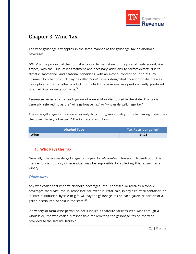

# <span id="page-19-0"></span>**Chapter 3: Wine Tax**

The wine gallonage tax applies in the same manner as the gallonage tax on alcoholic beverages.

"Wine" is the product of the normal alcoholic fermentation of the juice of fresh, sound, ripe grapes, with the usual cellar treatment and necessary additions to correct defects due to climatic, saccharine, and seasonal conditions, with an alcohol content of up to 21% by volume. No other product may be called "wine" unless designated by appropriate prefixes descriptive of fruit or other product from which the beverage was predominantly produced, or an artificial or imitation wine.<sup>[38](#page-73-28)</sup>

Tennessee levies a tax on each gallon of wine sold or distributed in the state. This tax is generally referred to as the "wine gallonage tax" or "wholesale gallonage tax."

The wine gallonage tax is a state tax only. No county, municipality, or other taxing district has the power to levy a like tax.<sup>[39](#page-73-29)</sup> The tax rate is as follows:

| <b>Alcohol Type</b> | Tax Rate (per gallon) |
|---------------------|-----------------------|
| Wine                | \$1.21                |

# <span id="page-19-1"></span>**1. Who Pays the Tax**

Generally, the wholesale gallonage tax is paid by *wholesalers*. However, depending on the manner of distribution, other entities may be responsible for collecting this tax such as a winery.

# *Wholesalers*

Any wholesaler that imports alcoholic beverages into Tennessee or receives alcoholic beverages manufactured in Tennessee for eventual retail sale, in any size retail container, or in-state distribution by sale or gift, will pay the gallonage tax on each gallon or portion of a gallon distributed or sold in the state.<sup>[40](#page-73-30)</sup>

If a winery or farm wine permit holder supplies its satellite facilities with wine through a wholesaler, the wholesaler is responsible for remitting the gallonage tax on the wine provided to the satellite facility.[41](#page-73-31)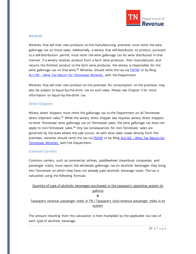

#### *Wineries*

Wineries that sell their own products on the manufacturing premises must remit the wine gallonage tax on those sales. Additionally, a winery that self-distributes its product, pursuant to a self-distribution permit, must remit the wine gallonage tax for wine distributed in that manner. If a winery receives product from a farm wine producer, then manufactures and returns the finished product to the farm wine producer, the winery is responsible for the wine gallonage tax on that wine.<sup>[42](#page-73-32)</sup> Wineries should remit the tax via **TNTAP** or by filing ALC105 – [Wine Tax Return for Tennessee Wineries](https://www.tn.gov/content/dam/tn/revenue/documents/forms/alcohol/alc105_2021.pdf) with the Department.

Wineries that sell their own product on the premises for consumption on the premises may also be subject to liquor-by-the-drink tax on such sales. Please see Chapter 5 for more information on liquor-by-the-drink tax.

#### *Direct Shippers*

Winery direct shippers must remit the gallonage tax to the Department on all Tennessee direct shipment sales.<sup>[43](#page-73-33)</sup> While the winery direct shipper law requires winery direct shippers to remit Tennessee wine gallonage tax on Tennessee sales, the wine gallonage tax does not apply to non-Tennessee sales. $44$  Any tax consequences for non-Tennessee sales are governed by the state where the sale occurs. As with wine sales made directly from the premises, wineries should remit the tax via [TNTAP](https://tntap.tn.gov/eservices/_/) or by filing ALC105 – [Wine Tax Return for](https://www.tn.gov/content/dam/tn/revenue/documents/forms/alcohol/alc105_2021.pdf)  [Tennessee Wineries](https://www.tn.gov/content/dam/tn/revenue/documents/forms/alcohol/alc105_2021.pdf) with the Department.

#### *Common Carriers*

Common carriers, such as commercial airlines, paddlewheel steamboat companies, and passenger trains, must report the wholesale gallonage tax on alcoholic beverages they bring into Tennessee on which they have not already paid alcoholic beverage taxes. The tax is calculated using the following formula:

| <u>Ouantity of type of alcoholic beverages purchased in the taxpayer's operating system (in</u> |
|-------------------------------------------------------------------------------------------------|
| gallons)                                                                                        |
|                                                                                                 |
| Taxpayer's revenue passenger miles in TN / Taxpayer's total revenue passenger miles in its      |
| system                                                                                          |

The amount resulting from this calculation is then multiplied by the applicable tax rate of each type of alcoholic beverage.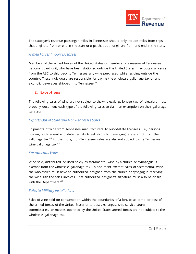

The taxpayer's revenue passenger miles in Tennessee should only include miles from trips that originate from or end in the state or trips that both originate from and end in the state.

#### *Armed Forces Import Licensees*

Members of the armed forces of the United States or members of a reserve of Tennessee national guard unit, who have been stationed outside the United States, may obtain a license from the ABC to ship back to Tennessee any wine purchased while residing outside the country. These individuals are responsible for paying the wholesale gallonage tax on any alcoholic beverages shipped into Tennessee.<sup>[45](#page-73-35)</sup>

# <span id="page-21-0"></span>**2. Exceptions**

The following sales of wine are not subject to the wholesale gallonage tax. Wholesalers must properly document each type of the following sales to claim an exemption on their gallonage tax return.

# *Exports Out of State and Non-Tennessee Sales*

Shipments of wine from Tennessee manufacturers to out-of-state licensees (i.e., persons holding both federal and state permits to sell alcoholic beverages) are exempt from the gallonage tax.<sup>[46](#page-73-36)</sup> Furthermore, non-Tennessee sales are also not subject to the Tennessee wine gallonage tax.<sup>[47](#page-73-37)</sup>

#### *Sacramental Wine*

Wine sold, distributed, or used solely as sacramental wine by a church or synagogue is exempt from the wholesale gallonage tax. To document exempt sales of sacramental wine, the wholesaler must have an authorized designee from the church or synagogue receiving the wine sign the sales invoices. That authorized designee's signature must also be on file with the Department.<sup>[48](#page-73-38)</sup>

# *Sales to Military Installations*

Sales of wine sold for consumption within the boundaries of a fort, base, camp, or post of the armed forces of the United States or to post exchanges, ship service stores, commissaries, or messes operated by the United States armed forces are not subject to the wholesale gallonage tax.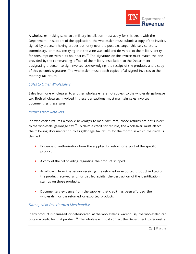

A wholesaler making sales to a military installation must apply for this credit with the Department. In support of the application, the wholesaler must submit a copy of the invoice, signed by a person having proper authority over the post exchange, ship service store, commissary, or mess, certifying that the wine was sold and delivered to the military entity for consumption within its boundaries.<sup>[49](#page-73-39)</sup> The signature on the invoice must match the one provided by the commanding officer of the military installation to the Department designating a person to sign invoices acknowledging the receipt of the products and a copy of this person's signature. The wholesaler must attach copies of all signed invoices to the monthly tax return.

#### *Sales to Other Wholesalers*

Sales from one wholesaler to another wholesaler are not subject to the wholesale gallonage tax. Both wholesalers involved in these transactions must maintain sales invoices documenting these sales.

# *Returns from Retailers*

If a wholesaler returns alcoholic beverages to manufacturers, those returns are not subject to the wholesale gallonage  $\text{tax}^{.50}$  $\text{tax}^{.50}$  $\text{tax}^{.50}$  To claim a credit for returns, the wholesaler must attach the following documentation to its gallonage tax return for the month in which the credit is claimed:

- **Exidence of authorization from the supplier for return or export of the specific** product.
- A copy of the bill of lading regarding the product shipped.
- An affidavit from the person receiving the returned or exported product indicating the product received and, for distilled spirits, the destruction of the identification stamps on those products.
- Documentary evidence from the supplier that credit has been afforded the wholesaler for the returned or exported products.

# *Damaged or Deteriorated Merchandise*

If any product is damaged or deteriorated at the wholesaler's warehouse, the wholesaler can obtain a credit for that product.<sup>[51](#page-73-0)</sup> The wholesaler must contact the Department to request a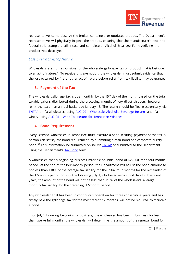

representative come observe the broken containers or outdated product. The Department's representative will physically inspect the product, ensuring that the manufacturer's seal and federal strip stamp are still intact, and complete an Alcohol Breakage Form verifying the product was destroyed.

#### *Loss by Fire or Act of Nature*

Wholesalers are not responsible for the wholesale gallonage tax on product that is lost due to an act of nature.<sup>[52](#page-73-41)</sup> To receive this exemption, the wholesaler must submit evidence that the loss occurred by fire or other act of nature before relief from tax liability may be granted.

# <span id="page-23-0"></span>**3. Payment of the Tax**

The wholesale gallonage tax is due monthly, by the  $15<sup>th</sup>$  day of the month based on the total taxable gallons distributed during the preceding month. Winery direct shippers, however, remit the tax on an annual basis, due January 15. The return should be filed electronically via [TNTAP](https://tntap.tn.gov/eservices/_/) or if a wholesaler, using ALC102 - [Wholesale Alcoholic Beverage Return](https://www.tn.gov/content/dam/tn/revenue/documents/forms/alcohol/alc102_2019.pdf) and if a winery using ALC105 – [Wine Tax Return for Tennessee Wineries.](https://www.tn.gov/content/dam/tn/revenue/documents/forms/alcohol/alc105_2021.pdf) 

# <span id="page-23-1"></span>**4. Bond Requirement**

Every licensed wholesaler in Tennessee must execute a bond securing payment of the tax. A person can satisfy the bond requirement by submitting a cash bond or a corporate surety bond.<sup>[53](#page-73-1)</sup> This information be submitted online via **TNTAP** or submitted to the Department using the Department's [Tax Bond](https://www.tn.gov/content/dam/tn/revenue/documents/forms/alcohol/alchbevbond.pdf) form.

A wholesaler that is beginning business must file an initial bond of \$75,000 for a four-month period. At the end of the four-month period, the Department will adjust the bond amount to not less than 110% of the average tax liability for the initial four months for the remainder of the 12-month period or until the following July 1, whichever occurs first. In all subsequent years, the amount of the bond will not be less than 110% of the wholesaler's average monthly tax liability for the preceding 12-month period.

Any wholesaler that has been in continuous operation for three consecutive years and has timely paid the gallonage tax for the most recent 12 months, will not be required to maintain a bond.

If, on July 1 following beginning of business, the wholesaler has been in business for less than twelve full months, the wholesaler will determine the amount of the renewal bond for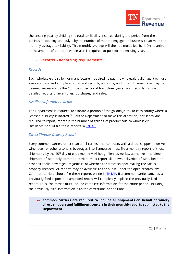

the ensuing year by dividing the total tax liability incurred during the period from the business's opening until July 1 by the number of months engaged in business to arrive at the monthly average tax liability. This monthly average will then be multiplied by 110% to arrive at the amount of bond the wholesaler is required to post for the ensuing year.

# <span id="page-24-0"></span>**5. Records & Reporting Requirements**

#### *Records*

Each wholesaler, distiller, or manufacturer required to pay the wholesale gallonage tax must keep accurate and complete books and records, accounts, and other documents as may be deemed necessary by the Commissioner for at least three years. Such records include detailed reports of inventories, purchases, and sales.

#### *Distillery Information Report*

The Department is required to allocate a portion of the gallonage tax to each county where a licensed distillery is located.<sup>[54](#page-73-2)</sup> For the Department to make this allocation, distilleries are required to report, monthly, the number of gallons of product sold to wholesalers. Distilleries should file these reports in [TNTAP.](https://tntap.tn.gov/eservices/_/)

# *Direct Shipper Delivery Report*

Every common carrier, other than a rail carrier, that contracts with a direct shipper to deliver wine, beer, or other alcoholic beverages into Tennessee must file a monthly report of those shipments by the 25<sup>th</sup> day of each month.<sup>[55](#page-73-3)</sup> Although Tennessee law authorizes the direct shipment of wine only, common carriers must report all known deliveries of wine, beer, or other alcoholic beverages, regardless of whether the direct shipper making the sale is properly licensed. All reports may be available to the public under the open records law. Common carriers should file these reports online in **TNTAP**. If a common carrier amends a previously filed report, the amended report will completely replace the previously filed report. Thus, the carrier must include complete information for the entire period, including the previously filed information plus the corrections or additions.

**Common carriers are required to include all shipments on behalf of winery direct shippers and fulfillment centers in their monthly reports submitted to the Department.**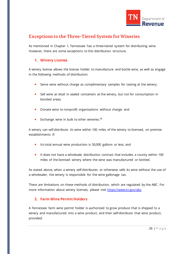

# <span id="page-25-0"></span>**Exceptions to the Three-Tiered System for Wineries**

As mentioned in Chapter 1, Tennessee has a three-tiered system for distributing wine. However, there are some exceptions to this distribution structure.

#### <span id="page-25-1"></span>**1. Winery License**

A winery license allows the license holder to manufacture and bottle wine, as well as engage in the following methods of distribution:

- Serve wine without charge as complimentary samples for tasting at the winery;
- Sell wine at retail in sealed containers at the winery, but not for consumption in bonded areas;
- Donate wine to nonprofit organizations without charge; and
- **Exchange wine in bulk to other wineries.**<sup>[56](#page-73-4)</sup>

A winery can self-distribute its wine within 100 miles of the winery to licensed, on premise establishments if:

- **If Its total annual wine production is 50,000 gallons or less; and**
- It does not have a wholesale distribution contract that includes a county within 100 miles of the licensed winery where the wine was manufactured or bottled.

As stated above, when a winery self-distributes or otherwise sells its wine without the use of a wholesaler, the winery is responsible for the wine gallonage tax.

There are limitations on these methods of distribution, which are regulated by the ABC. For more information about winery licenses, please visit [https://www.tn.gov/abc.](https://www.tn.gov/abc)

# <span id="page-25-2"></span>**2. Farm Wine Permit Holders**

A Tennessee farm wine permit holder is authorized to grow produce that is shipped to a winery and manufactured into a wine product, and then self-distribute that wine product, provided: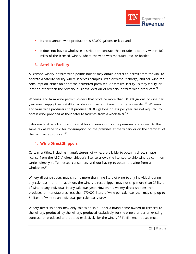

- **Its total annual wine production is 50,000 gallons or less; and**
- It does not have a wholesale distribution contract that includes a county within 100 miles of the licensed winery where the wine was manufactured or bottled.

# <span id="page-26-0"></span>**3. Satellite Facility**

A licensed winery or farm wine permit holder may obtain a satellite permit from the ABC to operate a satellite facility where it serves samples, with or without charge, and sell wine for consumption either on or off the permitted premises. A "satellite facility" is "any facility or location other than the primary business location of a winery or farm wine producer."<sup>[57](#page-73-5)</sup>

Wineries and farm wine permit holders that produce more than 50,000 gallons of wine per year must supply their satellite facilities with wine obtained from a wholesaler.<sup>[58](#page-73-6)</sup> Wineries and farm wine producers that produce 50,000 gallons or less per year are not required to obtain wine provided at their satellite facilities from a wholesaler.<sup>[59](#page-73-7)</sup>

Sales made at satellite locations sold for consumption on the premises are subject to the same tax as wine sold for consumption on the premises at the winery or on the premises of the farm wine producer.<sup>[60](#page-73-8)</sup>

# <span id="page-26-1"></span>**4. Wine Direct Shippers**

Certain entities, including manufacturers of wine, are eligible to obtain a direct shipper license from the ABC. A direct shipper's license allows the licensee to ship wine by common carrier directly to Tennessee consumers, without having to obtain the wine from a wholesaler.<sup>[61](#page-73-9)</sup>

Winery direct shippers may ship no more than nine liters of wine to any individual during any calendar month. In addition, the winery direct shipper may not ship more than 27 liters of wine to any individual in any calendar year. However, a winery direct shipper that produces or manufactures less than 270,000 liters of wine per calendar year may ship up to 54 liters of wine to an individual per calendar year.<sup>[62](#page-73-10)</sup>

Winery direct shippers may only ship wine sold under a brand name owned or licensed to the winery, produced by the winery, produced exclusively for the winery under an existing contract, or produced and bottled exclusively for the winery.<sup>[63](#page-73-11)</sup> Fulfillment houses must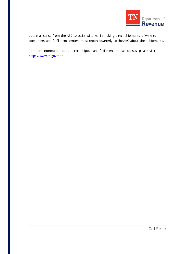

obtain a license from the ABC to assist wineries in making direct shipments of wine to consumers and fulfillment centers must report quarterly to the ABC about their shipments.

For more information about direct shipper and fulfillment house licenses, please visit [https://www.tn.gov/abc.](https://www.tn.gov/abc)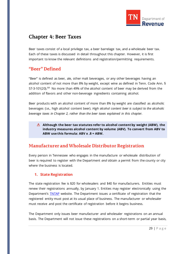

# <span id="page-28-0"></span>**Chapter 4: Beer Taxes**

Beer taxes consist of a local privilege tax, a beer barrelage tax, and a wholesale beer tax. Each of these taxes is discussed in detail throughout this chapter. However, it is first important to know the relevant definitions and registration/permitting requirements.

# <span id="page-28-1"></span>**"Beer" Defined**

"Beer" is defined as beer, ale, other malt beverages, or any other beverages having an alcohol content of not more than 8% by weight, except wine as defined in Tenn. Code Ann. § 57-3-101(20).<sup>[64](#page-73-12)</sup> No more than 49% of the alcohol content of beer may be derived from the addition of flavors and other non-beverage ingredients containing alcohol.

Beer products with an alcohol content of more than 8% by weight are classified as alcoholic beverages (i.e., high alcohol content beer). *High alcohol content beer is subject to the alcoholic beverage taxes in Chapter 2, rather than the beer taxes explained in this chapter.*

**Although the beer tax statutes refer to alcohol content by weight (ABW), the industry measures alcohol content by volume (ABV). To convert from ABV to ABW use this formula: ABV x .8 = ABW.**

# <span id="page-28-2"></span>**Manufacturer and Wholesale Distributor Registration**

Every person in Tennessee who engages in the manufacture or wholesale distribution of beer is required to register with the Department *and* obtain a permit from the county or city where the business is located.

# <span id="page-28-3"></span>**1. State Registration**

The state registration fee is \$20 for wholesalers and \$40 for manufacturers. Entities must renew their registrations annually, by January 1. Entities may register electronically using the Department's **TNTAP** website. The Department issues a certificate of registration that the registered entity must post at its usual place of business. The manufacturer or wholesaler must receive and post the certificate of registration before it begins business.

The Department only issues beer manufacturer and wholesaler registrations on an annual basis. The Department will not issue these registrations on a short-term or partial year basis,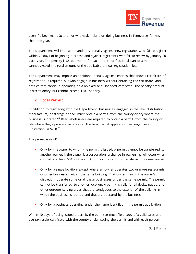

even if a beer manufacturer or wholesaler plans on doing business in Tennessee for less than one year.

The Department will impose a mandatory penalty against new registrants who fail to register within 20 days of beginning business and against registrants who fail to renew by January 20 each year. The penalty is \$5 per month for each month or fractional part of a month but cannot exceed the total amount of the applicable annual registration fee.

The Department may impose an additional penalty against entities that know a certificate of registration is required but who engage in business without obtaining the certificate, and entities that continue operating on a revoked or suspended certificate. The penalty amount is discretionary but cannot exceed \$100 per day.

# <span id="page-29-0"></span>**2. Local Permit**

In addition to registering with the Department, businesses engaged in the sale, distribution, manufacture, or storage of beer must obtain a permit from the county or city where the business is located.<sup>[65](#page-73-13)</sup> Beer wholesalers are required to obtain a permit from the county or city where they operate a warehouse. The beer permit application fee, regardless of jurisdiction, is \$250.[66](#page-73-14)

The permit is valid $67$ :

- **•** Only for the owner to whom the permit is issued. A permit cannot be transferred to another owner. If the owner is a corporation, a change in ownership will occur when control of at least 50% of the stock of the corporation is transferred to a new owner.
- **•** Only for a single location, except where an owner operates two or more restaurants or other businesses within the same building. That owner may, in the owner's discretion, operate some or all these businesses under the same permit. The permit cannot be transferred to another location. A permit is valid for all decks, patios, and other outdoor serving areas that are contiguous to the exterior of the building in which the business is located and that are operated by the business.
- **•** Only for a business operating under the name identified in the permit application.

Within 10 days of being issued a permit, the permitee must file a copy of a valid sales and use tax resale certificate with the county or city issuing the permit and with each person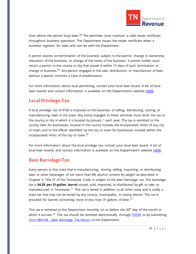

from whom the person buys beer. $^{68}$  $^{68}$  $^{68}$  The permitee must maintain a valid resale certificate throughout business operation. The Department issues the resale certificate when a business registers for sales and use tax with the Department.

A permit expires on termination of the business subject to the permit, change in ownership, relocation of the business, or change of the name of the business. A permit holder must return a permit to the county or city that issued it within 15 days of such termination or change in business.<sup>[69](#page-73-17)</sup> Any person engaged in the sale, distribution, or manufacture of beer without a permit commits a Class A misdemeanor.

For more information about local permitting, contact your local beer board. A list of local beer boards and contact information is available on the Department's website [HERE.](https://www.tn.gov/content/tn/revenue/taxes/beer-taxes/registration-and-licensing/beer-board.html)

# <span id="page-30-0"></span>**Local Privilege Tax**

A local privilege tax of \$100 is imposed on the business of selling, distributing, storing, or manufacturing beer in the state. Any entity engaged in these activities must remit the tax to the county or city in which it is located by January 1 each year. The tax is remitted to the county clerk for businesses located in the county outside the incorporated limits of any city or town, and to the official identified by the city or town for businesses located within the incorporated limits of the city or town.<sup>[70](#page-73-18)</sup>

For more information about the local privilege tax, contact your local beer board. A list of local beer boards and contact information is available on the Department's website **HERE**.

# <span id="page-30-1"></span>**Beer Barrelage Tax**

Every person in this state that is manufacturing, storing, selling, importing, or distributing beer or other beverages of not more than 8% alcohol content by weight as described in Chapter 5, Title 57 of the Tennessee Code, is subject to the beer barrelage tax. The barrelage tax is **\$4.29 per 31-gallon barrel** stored, sold, imported, or distributed by gift or sale, or manufactured in Tennessee. $^{71}$  $^{71}$  $^{71}$  This tax is levied in addition to all other taxes and is solely a state tax that may not be levied by any county, municipality, or taxing district. The tax is prorated for barrels containing more or less than 31 gallons of beer.<sup>[72](#page-73-20)</sup>

This tax is remitted to the Department monthly, on or before the  $20<sup>th</sup>$  day of the month in which it accrues.<sup>[73](#page-73-21)</sup> This tax should be remitted electronically through  $\overline{\text{INTAP}}$  or by submitting Form BER108 - [Beer Barrelage Tax Return](https://www.tn.gov/content/dam/tn/revenue/documents/forms/beer/ber108_2019.pdf) to the Department.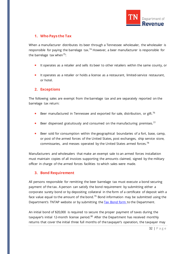

# <span id="page-31-0"></span>**1. Who Pays the Tax**

When a manufacturer distributes its beer through a Tennessee wholesaler, the wholesaler is responsible for paying the barrelage tax.<sup>[74](#page-73-22)</sup> However, a beer manufacturer is responsible for the barrelage tax when $75$ :

- It operates as a retailer and sells its beer to other retailers within the same county, or
- It operates as a retailer or holds a license as a restaurant, limited-service restaurant, or hotel.

#### <span id="page-31-1"></span>**2. Exceptions**

The following sales are exempt from the barrelage tax and are separately reported on the barrelage tax return:

- Beer manufactured in Tennessee and exported for sale, distribution, or gift.<sup>[76](#page-73-24)</sup>
- Beer dispensed gratuitously and consumed on the manufacturing premises.<sup>[77](#page-73-25)</sup>
- Beer sold for consumption within the geographical boundaries of a fort, base, camp, or post of the armed forces of the United States, post exchanges, ship service store, commissaries, and messes operated by the United States armed forces.<sup>[78](#page-73-26)</sup>

Manufacturers and wholesalers that make an exempt sale to an armed forces installation must maintain copies of all invoices supporting the amounts claimed, signed by the military officer in charge of the armed forces facilities to which sales were made.

# <span id="page-31-2"></span>**3. Bond Requirement**

All persons responsible for remitting the beer barrelage tax must execute a bond securing payment of the tax. A person can satisfy the bond requirement by submitting either a corporate surety bond or by depositing collateral in the form of a certificate of deposit with a face value equal to the amount of the bond.<sup>[79](#page-73-27)</sup> Bond information may be submitted using the Department's TNTAP website or by submitting the [Tax Bond form t](https://www.tn.gov/content/dam/tn/revenue/documents/forms/alcohol/alchbevbond.pdf)o the Department.

An initial bond of \$20,000 is required to secure the proper payment of taxes during the taxpayer's initial 12-month license period. $80$  After the Department has received monthly returns that cover the initial three full months of the taxpayer's operation, the taxpayer may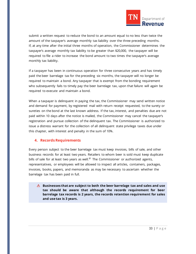

submit a written request to reduce the bond to an amount equal to no less than twice the amount of the taxpayer's average monthly tax liability over the three preceding months. If, at any time after the initial three months of operation, the Commissioner determines the taxpayer's average monthly tax liability to be greater than \$20,000, the taxpayer will be required to file a rider to increase the bond amount to two times the taxpayer's average monthly tax liability.

If a taxpayer has been in continuous operation for three consecutive years and has timely paid the beer barrelage tax for the preceding six months, the taxpayer will no longer be required to maintain a bond. Any taxpayer that is exempt from the bonding requirement who subsequently fails to timely pay the beer barrelage tax, upon that failure will again be required to execute and maintain a bond.

When a taxpayer is delinquent in paying the tax, the Commissioner may send written notice and demand for payment, by registered mail with return receipt requested, to the surety or sureties on the bond at the last known address. If the tax, interest, and penalties due are not paid within 10 days after the notice is mailed, the Commissioner may cancel the taxpayer's registration and pursue collection of the delinquent tax. The Commissioner is authorized to issue a distress warrant for the collection of all delinquent state privilege taxes due under this chapter, with interest and penalty in the sum of 10%.

#### <span id="page-32-0"></span>**4. Records Requirements**

Every person subject to the beer barrelage tax must keep invoices, bills of sale, and other business records for at least two years. Retailers to whom beer is sold must keep duplicate bills of sale for at least two years as well. $81$  The Commissioner or authorized agents, representatives, or employees will be allowed to inspect all articles, containers, packages, invoices, books, papers, and memoranda as may be necessary to ascertain whether the barrelage tax has been paid in full.

**Businesses that are subject to both the beer barrelage tax and sales and use tax should be aware that although the records requirement for beer barrelage tax records is 2 years, the records retention requirement for sales and use tax is 3 years.**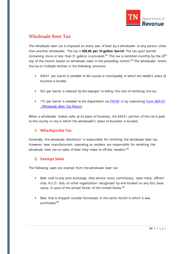

# <span id="page-33-0"></span>**Wholesale Beer Tax**

The wholesale beer tax is imposed on every sale of beer by a wholesaler to any person other than another wholesaler. The tax is **\$35.60 per 31-gallon barrel**. The tax upon barrels containing more or less than 31 gallons is prorated.<sup>[82](#page-73-29)</sup> This tax is remitted monthly by the 20<sup>th</sup> day of the month, based on wholesale sales in the preceding month.<sup>[83](#page-73-30)</sup> The wholesaler remits the tax to multiple entities in the following amounts:

- \$34.51 per barrel is *remitted to the county or municipality in which the retailer's place of business is located*.
- 92¢ per barrel is *retained by the taxpayer* to defray the cost of remitting the tax.
- **17¢ per barrel is** *remitted to the Department* via **TNTAP** or by submitting **Form BER107** - [Wholesale Beer Tax Return.](https://www.tn.gov/content/dam/tn/revenue/documents/forms/beer/ber107_2019.pdf)

When a wholesaler makes sales at its place of business, the \$34.51 portion of the tax is paid to the county or city in which the wholesaler's place of business is located.

# <span id="page-33-1"></span>**1. Who Pays the Tax**

Generally, the wholesale distributor is responsible for remitting the wholesale beer tax. However, beer manufacturers operating as retailers are responsible for remitting the wholesale beer tax on sales of beer they make to off-site retailers.<sup>[84](#page-73-31)</sup>

# <span id="page-33-2"></span>**2. Exempt Sales**

The following sales are exempt from the wholesale beer tax:

- **Beer sold to any post exchange, ship service store, commissary, open mess, officers'** club, N.C.O. club, or other organization recognized by and located on any fort, base, camp, or post of the armed forces of the United States.<sup>[85](#page-73-32)</sup>
- Beer that is shipped outside Tennessee in the same month in which it was purchased.<sup>[86](#page-73-33)</sup>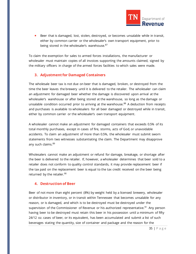

**Beer that is damaged, lost, stolen, destroyed, or becomes unsalable while in transit,** either by common carrier or the wholesaler's own transport equipment, prior to being stored in the wholesaler's warehouse.<sup>[87](#page-73-34)</sup>

To claim the exemption for sales to armed forces installations, the manufacturer or wholesaler must maintain copies of all invoices supporting the amounts claimed, signed by the military officers in charge of the armed forces facilities to which sales were made.

#### <span id="page-34-0"></span>**3. Adjustment for Damaged Containers**

The wholesale beer tax is not due on beer that is damaged, broken, or destroyed from the time the beer leaves the brewery until it is delivered to the retailer. The wholesaler can claim an adjustment for damaged beer whether the damage is discovered upon arrival at the wholesaler's warehouse or after being stored at the warehouse, so long as the damage or unsalable condition occurred prior to arriving at the warehouse.<sup>[88](#page-73-35)</sup> A deduction from receipts and purchases is available to wholesalers for all beer damaged or destroyed while in transit, either by common carrier or the wholesaler's own transport equipment.

A wholesaler cannot make an adjustment for damaged containers that exceeds 0.5% of its total monthly purchases, except in cases of fire, storms, acts of God, or unavoidable accidents. To claim an adjustment of more than 0.5%, the wholesaler must submit sworn statements from two witnesses substantiating the claim. The Department may disapprove any such claims.<sup>[89](#page-73-36)</sup>

Wholesalers cannot make an adjustment or refund for damage, breakage, or shortage after the beer is delivered to the retailer. If, however, a wholesaler determines that beer sold to a retailer does not conform to quality control standards, it may provide replacement beer if the tax paid on the replacement beer is equal to the tax credit received on the beer being returned by the retailer.<sup>[90](#page-73-37)</sup>

#### <span id="page-34-1"></span>**4. Destruction of Beer**

Beer of not more than eight percent (8%) by weight held by a licensed brewery, wholesaler or distributor in inventory, or in transit within Tennessee that becomes unsalable for any reason, or is damaged, and which is to be destroyed must be destroyed under the supervision of the Commissioner of Revenue or his authorized representative.<sup>[91](#page-73-38)</sup> Any person having beer to be destroyed must retain this beer in his possession until a minimum of fifty 24/12 oz. cases of beer, or its equivalent, has been accumulated and submit a list of such beverages stating the quantity, size of container and package and the reason for the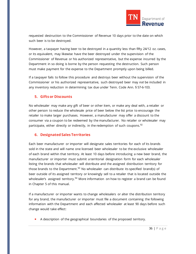

requested destruction to the Commissioner of Revenue 10 days prior to the date on which such beer is to be destroyed.

However, a taxpayer having beer to be destroyed in a quantity less than fifty 24/12 oz. cases, or its equivalent, may likewise have the beer destroyed under the supervision of the Commissioner of Revenue or his authorized representative, but the expense incurred by the Department in so doing is borne by the person requesting the destruction. Such person must make payment for the expense to the Department promptly upon being billed.

If a taxpayer fails to follow this procedure and destroys beer without the supervision of the Commissioner or his authorized representative, such destroyed beer may *not* be included in any inventory reduction in determining tax due under Tenn. Code Ann. § 57-6-103.

# <span id="page-35-0"></span>**5. Gifts or Discounts**

No wholesaler may make any gift of beer or other item, or make any deal with, a retailer or other person to reduce the wholesale price of beer below the list price to encourage the retailer to make larger purchases. However, a manufacturer may offer a discount to the consumer via a coupon to be redeemed by the manufacturer. No retailer or wholesaler may participate, either directly or indirectly, in the redemption of such coupons.  $92$ 

# <span id="page-35-1"></span>**6. Designated Sales Territories**

Each beer manufacturer or importer will designate sales territories for each of its brands sold in the state and will name one licensed beer wholesaler to be the exclusive wholesaler of each brand within that territory. At least 10 days before introducing a new beer brand, the manufacturer or importer must submit a territorial designation form for each wholesaler listing the brands that wholesaler will distribute and the assigned distribution territory for those brands to the Department.<sup>[93](#page-73-40)</sup> No wholesaler can distribute its specified brand(s) of beer outside of its assigned territory or knowingly sell to a retailer that is located outside the wholesaler's assigned territory.<sup>[94](#page-73-0)</sup> More information on how to register a brand can be found in Chapter 5 of this manual.

If a manufacturer or importer wants to change wholesalers or alter the distribution territory for any brand, the manufacturer or importer must file a document containing the following information with the Department and each affected wholesaler at least 90 days before such change would take effect:

A description of the geographical boundaries of the proposed territory.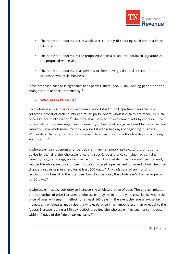

- The name and address of the wholesaler currently distributing such brand(s) in the territory.
- **The name and address of the proposed wholesaler and the notarized signature of** the proposed wholesaler.
- **The name and address of all persons or firms having a financial interest in the** proposed wholesale business.

If the proposed change is agreeable to all parties, there is no 90-day waiting period and the change can take effect immediately. $95$ 

### **7. Wholesale Price List**

Each wholesaler will maintain a wholesale price list with the Department and the taxcollecting official of each county and municipality where wholesale sales are made. All such price lists are public record.<sup>[96](#page-73-1)</sup> The price shall be fixed on each brand sold by container. The price shall be the same regardless of quantity of beer sold of a given brand by container and category. New wholesalers must file a price list within five days of beginning business. Wholesalers that acquire new brands must file a new price list within five days of acquiring such brands.<sup>[97](#page-73-2)</sup>

A wholesaler cannot sponsor or participate in any temporary price-cutting promotion or device by changing the wholesale price of a specific beer brand, container, or container category (e.g., cans, kegs, nonreturnable bottles). A wholesaler may, however, permanently reduce the wholesale price of beer. To be considered a permanent price reduction, the price change must remain in effect for at least 360 days. $98$  Any violations of such pricing regulations will result in the local beer board suspending the wholesaler's license or permit for 30 days. $99$ 

A wholesaler has the authority to increase the wholesale price of beer. There is no limitation on the number of price increases a wholesaler may make, but any increase in the wholesale price of beer will remain in effect for at least 360 days. In the event the federal excise tax increases, a wholesaler may raise the wholesale price in an amount less than or equal to the federal increase during a 360-day period, provided the wholesaler files such price increase within 10 days of the federal tax increase.<sup>[100](#page-73-5)</sup>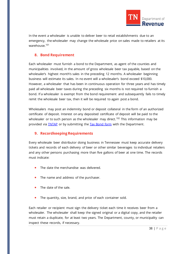

In the event a wholesaler is unable to deliver beer to retail establishments due to an emergency, the wholesaler may change the wholesale price on sales made to retailers at its warehouse.<sup>[101](#page-73-6)</sup>

### **8. Bond Requirement**

Each wholesaler must furnish a bond to the Department, as agent of the counties and municipalities involved, in the amount of gross wholesale beer tax payable, based on the wholesaler's highest month's sales in the preceding 12 months. A wholesaler beginning business will estimate its sales. In no event will a wholesaler's bond exceed \$10,000. However, a wholesaler that has been in continuous operation for three years and has timely paid all wholesale beer taxes during the preceding six months is not required to furnish a bond. If a wholesaler is exempt from the bond requirement and subsequently fails to timely remit the wholesale beer tax, then it will be required to again post a bond.

Wholesalers may post an indemnity bond or deposit collateral in the form of an authorized certificate of deposit. Interest on any deposited certificate of deposit will be paid to the wholesaler or to such person as the wholesaler may direct.<sup>[102](#page-73-7)</sup> This information may be provided via [TNTAP](https://tntap.tn.gov/eservices/_/) or by submitting the [Tax Bond form](https://www.tn.gov/content/dam/tn/revenue/documents/forms/alcohol/alchbevbond.pdf) with the Department.

### **9. Recordkeeping Requirements**

Every wholesale beer distributor doing business in Tennessee must keep accurate delivery tickets and records of each delivery of beer or other similar beverages to individual retailers and any other persons purchasing more than five gallons of beer at one time. The records must indicate:

- The date the merchandise was delivered.
- The name and address of the purchaser.
- The date of the sale.
- The quantity, size, brand, and price of each container sold.

Each retailer or recipient must sign the delivery ticket each time it receives beer from a wholesaler. The wholesaler shall keep the signed original or a digital copy, and the retailer must retain a duplicate, for at least two years. The Department, county, or municipality can inspect these records, if necessary.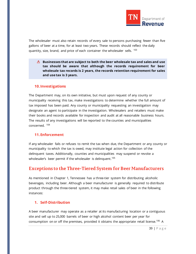

The wholesaler must also retain records of every sale to persons purchasing fewer than five gallons of beer at a time, for at least two years. These records should reflect the daily quantity, size, brand, and price of each container the wholesaler sells. <sup>[103](#page-73-8)</sup>

**Businesses that are subject to both the beer wholesale tax and sales and use tax should be aware that although the records requirement for beer wholesale tax records is 2 years, the records retention requirement for sales and use tax is 3 years.** 

#### **10.Investigations**

The Department may, on its own initiative, but must upon request of any county or municipality receiving this tax, make investigations to determine whether the full amount of tax imposed has been paid. Any county or municipality requesting an investigation may designate an agent to participate in the investigation. Wholesalers and retailers must make their books and records available for inspection and audit at all reasonable business hours. The results of any investigations will be reported to the counties and municipalities concerned. [104](#page-73-9)

### **11.Enforcement**

If any wholesaler fails or refuses to remit the tax when due, the Department or any county or municipality to which the tax is owed, may institute legal action for collection of the delinquent taxes. Additionally, counties and municipalities may suspend or revoke a wholesaler's beer permit if the wholesaler is delinquent.<sup>[105](#page-73-10)</sup>

# **Exceptions to the Three-Tiered System for Beer Manufacturers**

As mentioned in Chapter 1, Tennessee has a three-tier system for distributing alcoholic beverages, including beer. Although a beer manufacturer is generally required to distribute product through the three-tiered system, it may make retail sales of beer in the following instances:

### **1. Self-Distribution**

A beer manufacturer may operate as a retailer at its manufacturing location or a contiguous site and sell up to 25,000 barrels of beer or high alcohol content beer per year for consumption on or off the premises, provided it obtains the appropriate retail license.<sup>[106](#page-73-11)</sup> A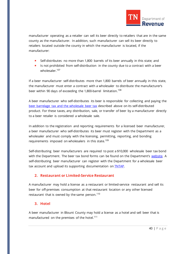

manufacturer operating as a retailer can sell its beer directly to retailers that are in the same county as the manufacturer. In addition, such manufacturer can sell its beer directly to retailers located outside the county in which the manufacturer is located, if the manufacturer:

- Self-distributes no more than 1,800 barrels of its beer annually in this state; and
- If Is not prohibited from self-distribution in the county due to a contract with a beer wholesaler.<sup>[107](#page-73-12)</sup>

If a beer manufacturer self-distributes more than 1,800 barrels of beer annually in this state, the manufacturer must enter a contract with a wholesaler to distribute the manufacturer's beer within 90 days of exceeding the 1,800-barrel limitation.<sup>[108](#page-73-13)</sup>

A beer manufacturer who self-distributes its beer is responsible for collecting and paying the [beer barrelage tax and the wholesale beer tax](https://www.tn.gov/revenue/taxes/beer-taxes.html) described above on its self-distributed product. For these taxes, any distribution, sale, or transfer of beer by a manufacturer directly to a beer retailer is considered a wholesale sale.

In addition to the registration and reporting requirements for a licensed beer manufacturer, a beer manufacturer who self-distributes its beer must register with the Department as a wholesaler and must comply with the licensing, permitting, reporting, and bonding requirements imposed on wholesalers in this state.<sup>[109](#page-73-14)</sup>

Self-distributing beer manufacturers are required to post a \$10,000 wholesale beer tax bond with the Department. The beer tax bond forms can be found on the Department's [website.](https://www.tn.gov/revenue/taxes/beer-taxes/forms.html) A self-distributing beer manufacturer can register with the Department for a wholesale beer tax account and upload its supporting documentation on **TNTAP**.

# **2. Restaurant or Limited-Service Restaurant**

A manufacturer may hold a license as a restaurant or limited-service restaurant and sell its beer for off-premises consumption at that restaurant location or any other licensed restaurant that is owned by the same person.<sup>[110](#page-73-15)</sup>

### **3. Hotel**

A beer manufacturer in Blount County may hold a license as a hotel and sell beer that is manufactured on the premises of the hotel.<sup>[111](#page-73-16)</sup>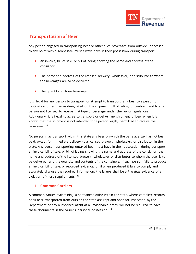

# **Transportation of Beer**

Any person engaged in transporting beer or other such beverages from outside Tennessee to any point within Tennessee must always have in their possession during transport:

- An invoice, bill of sale, or bill of lading showing the name and address of the consignor.
- The name and address of the licensed brewery, wholesaler, or distributor to whom the beverages are to be delivered.
- The quantity of those beverages.

It is illegal for any person to transport, or attempt to transport, any beer to a person or destination other than as designated on the shipment, bill of lading, or contract, and to any person not licensed to receive that type of beverage under the law or regulations. Additionally, it is illegal to agree to transport or deliver any shipment of beer when it is known that the shipment is not intended for a person legally permitted to receive the beverages.<sup>[112](#page-73-17)</sup>

No person may transport within this state any beer on which the barrelage tax has not been paid, except for immediate delivery to a licensed brewery, wholesaler, or distributor in the state. Any person transporting untaxed beer must have in their possession during transport an invoice, bill of sale, or bill of lading showing the name and address of the consignor, the name and address of the licensed brewery, wholesaler or distributor to whom the beer is to be delivered, and the quantity and contents of the containers. If such person fails to produce an invoice, bill of sale, or recorded evidence, or, if when produced it fails to comply and accurately disclose the required information, the failure shall be *prima facie* evidence of a violation of these requirements.<sup>[113](#page-73-18)</sup>

# **1. Common Carriers**

A common carrier maintaining a permanent office within the state, where complete records of all beer transported from outside the state are kept and open for inspection by the Department or any authorized agent at all reasonable times, will not be required to have these documents in the carrier's personal possession.<sup>[114](#page-73-19)</sup>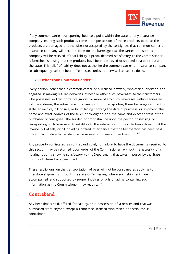

If any common carrier transporting beer to a point within the state, or any insurance company insuring such products, comes into possession of those products because the products are damaged or otherwise not accepted by the consignee, that common carrier or insurance company will become liable for the barrelage tax. The carrier or insurance company will be relieved of that liability if proof, deemed satisfactory to the Commissioner, is furnished showing that the products have been destroyed or shipped to a point outside the state. This relief of liability does not authorize the common carrier or insurance company to subsequently sell the beer in Tennessee unless otherwise licensed to do so.

### **2. Other than Common Carrier**

Every person, other than a common carrier or a licensed brewery, wholesaler, or distributor engaged in making regular deliveries of beer or other such beverages to their customers, who possesses or transports five gallons or more of any such beverages within Tennessee, will have, during the entire time in possession of or transporting these beverages within this state, an invoice, bill of sale, or bill of lading showing the date of purchase or shipment, the name and exact address of the seller or consignor, and the name and exact address of the purchaser or consignee. The burden of proof shall be upon the person possessing or transporting such beverages to establish to the satisfaction of the collection officers that the invoice, bill of sale, or bill of lading offered as evidence that the tax thereon has been paid does, in fact, relate to the identical beverages in possession or transport.<sup>[115](#page-73-20)</sup>

Any property confiscated as contraband solely for failure to have the documents required by this section may be returned upon order of the Commissioner, without the necessity of a hearing, upon a showing satisfactory to the Department that taxes imposed by the State upon such items have been paid.

These restrictions on the transportation of beer will not be construed as applying to interstate shipments through the state of Tennessee, where such shipments are accompanied and supported by proper invoices or bills of lading containing such information as the Commissioner may require.  $116$ 

# **Contraband**

Any beer that is sold, offered for sale by, or in possession of, a retailer and that was purchased from anyone except a Tennessee licensed wholesaler or distributor, is contraband.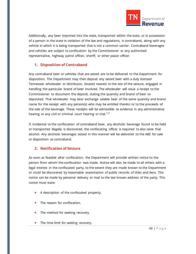

Additionally, any beer imported into the state, transported within the state, or in possession of a person in the state in violation of the law and regulations, is contraband, along with any vehicle in which it is being transported that is not a common carrier. Contraband beverages and vehicles are subject to confiscation by the Commissioner or any authorized representative, highway patrol officer, sheriff, or other peace officer.

### **1. Disposition of Contraband**

Any contraband beer or vehicles that are seized are to be delivered to the Department for disposition. The Department may then deposit any seized beer with a duly licensed Tennessee wholesaler or distributor, located nearest to the site of the seizure, engaged in handling the particular brand of beer involved. The wholesaler will issue a receipt to the Commissioner to document the deposit, stating the quantity and brand of beer so deposited. That wholesaler may later exchange salable beer of the same quantity and brand name for the receipt with any person(s) who may be entitled thereto or to the proceeds of the sale of the beverage. These receipts will be admissible as evidence in any administrative hearing or any civil or criminal court hearing or trial.<sup>[117](#page-73-22)</sup>

If, incidental to the confiscation of contraband beer, any alcoholic beverage found to be held or transported illegally is discovered, the confiscating officer is required to also seize that alcohol. Any alcoholic beverages seized in this manner will be delivered to the ABC for sale or disposition as contraband.

### **2. Notification of Seizure**

As soon as feasible after confiscation, the Department will provide written notice to the person from whom the confiscation was made. Notice will also be made to all others with a legal interest in the confiscated party, to the extent they are made known to the Department or could be discovered by reasonable examination of public records of titles and liens. This notice can be made by personal delivery or mail to the last known address of the party. This notice must state:

- A description of the confiscated property.
- The reason for confiscation.
- The method for seeking recovery.
- **The time limit for seeking recovery.**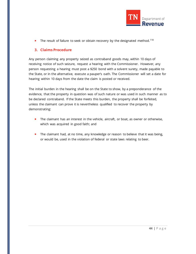

The result of failure to seek or obtain recovery by the designated method.<sup>[118](#page-73-23)</sup>

## **3. Claims Procedure**

Any person claiming any property seized as contraband goods may, within 10 days of receiving notice of such seizure, request a hearing with the Commissioner. However, any person requesting a hearing must post a \$250 bond with a solvent surety, made payable to the State, or in the alternative, execute a pauper's oath. The Commissioner will set a date for hearing within 10 days from the date the claim is posted or received.

The initial burden in the hearing shall be on the State to show, by a preponderance of the evidence, that the property in question was of such nature or was used in such manner as to be declared contraband. If the State meets this burden, the property shall be forfeited, unless the claimant can prove it is nevertheless qualified to recover the property by demonstrating:

- The claimant has an interest in the vehicle, aircraft, or boat, as owner or otherwise, which was acquired in good faith; and
- **The claimant had, at no time, any knowledge or reason to believe that it was being,** or would be, used in the violation of federal or state laws relating to beer.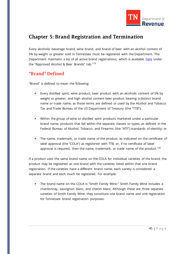

# **Chapter 5: Brand Registration and Termination**

Every alcoholic beverage brand, wine brand, and brand of beer with an alcohol content of 5% by weight or greater sold in Tennessee must be registered with the Department. The Department maintains a list of all active brand registrations, which is available [here](https://tntap.tn.gov/eservices/_/#1) under the "Approved Alcohol & Beer Brands" tab.<sup>[119](#page-73-24)</sup>

# **"Brand" Defined**

"Brand" is defined to mean the following:

- Every distilled spirit, wine product, beer product with an alcoholic content of 5% by weight or greater, and high alcohol content beer product bearing a distinct brand name or trade name, as those terms are defined or used by the Alcohol and Tobacco Tax and Trade Bureau of the US Department of Treasury (the "TTB");
- Within the group of wine or distilled spirit products marketed under a particular brand name, products that fall within the separate classes or types, as defined in the Federal Bureau of Alcohol, Tobacco, and Firearms (the "ATF") standards of identity; or
- **The name, trademark, or trade name of the product, as indicated on the certificate of** label approval (the "COLA") as registered with TTB, or, if no certificate of label approval is required, then the name, trademark, or trade name of the product.<sup>[120](#page-73-25)</sup>

If a product uses the same brand name on the COLA for individual varieties of the brand, the product may be registered as one brand with the varieties listed within that one brand registration. If the varieties have a different brand name, each variety is considered a separate brand and each much be registered. For example:

 The brand name on the COLA is "Smith Family Wine." Smith Family Wine includes a chardonnay, sauvignon blanc, and chenin blanc. Although these are three separate varieties of Smith Family Wine, they constitute one brand name and one registration for Tennessee brand registration purposes.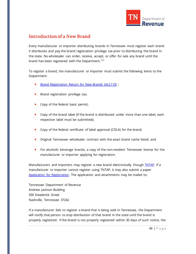

# **Introduction of a New Brand**

Every manufacturer or importer distributing brands in Tennessee must register each brand it distributes and pay the brand registration privilege tax prior to distributing the brand in the state. No wholesaler can order, receive, accept, or offer for sale any brand until the brand has been registered with the Department.<sup>[121](#page-73-26)</sup>

To register a brand, the manufacturer or importer must submit the following items to the Department:

- [Brand Registration Return for New Brands \(ALC119\)](https://www.tn.gov/content/dam/tn/revenue/documents/forms/alcohol/alc119.pdf);
- **Brand registration privilege tax;**
- Copy of the federal basic permit;
- **Copy of the brand label (if the brand is distributed under more than one label, each** respective label must be submitted);
- **Copy of the federal certificate of label approval (COLA) for the brand;**
- Original Tennessee wholesaler contract with the exact brand name listed; and
- **For alcoholic beverage brands, a copy of the non-resident Tennessee license for the** manufacturer or importer applying for registration.

Manufacturers and importers may register a new brand electronically though **INTAP**. If a manufacturer or importer cannot register using TNTAP, it may also submit a paper [Application for Registration.](https://www.tn.gov/content/dam/tn/revenue/documents/forms/general/f13005_1.pdf) The application and attachments may be mailed to:

Tennessee Department of Revenue Andrew Jackson Building 500 Deaderick Street Nashville, Tennessee 37242

If a manufacturer fails to register a brand that is being sold in Tennessee, the Department will notify that person to stop distribution of that brand in the state until the brand is properly registered. If the brand is not properly registered within 30 days of such notice, the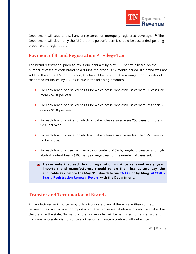

Department will seize and sell any unregistered or improperly registered beverages.<sup>[122](#page-73-27)</sup> The Department will also notify the ABC that the person's permit should be suspended pending proper brand registration.

# **Payment of Brand Registration Privilege Tax**

The brand registration privilege tax is due annually by May 31. The tax is based on the number of cases of each brand sold during the previous 12-month period. If a brand was not sold for the entire 12-month period, the tax will be based on the average monthly sales of that brand multiplied by 12. Tax is due in the following amounts:

- **For each brand of distilled spirits for which actual wholesale sales were 50 cases or** more - \$250 per year.
- **F** For each brand of distilled spirits for which actual wholesale sales were less than 50 cases - \$100 per year.
- For each brand of wine for which actual wholesale sales were 250 cases or more \$250 per year.
- For each brand of wine for which actual wholesale sales were less than 250 cases no tax is due.
- For each brand of beer with an alcohol content of 5% by weight or greater and high alcohol content beer - \$100 per year regardless of the number of cases sold.
	- **Please note that each brand registration must be renewed every year. Importers and manufacturers should renew their brands and pay the applicable tax before the May 31st due date via [TNTAP](https://tntap.tn.gov/eservices/_/) or by filing [ALC120 -](https://www.tn.gov/content/dam/tn/revenue/documents/forms/alcohol/alc120.pdf) [Brand Registration Renewal Return](https://www.tn.gov/content/dam/tn/revenue/documents/forms/alcohol/alc120.pdf) with the Department.**

# **Transfer and Termination of Brands**

A manufacturer or importer may only introduce a brand if there is a written contract between the manufacturer or importer and the Tennessee wholesale distributor that will sell the brand in the state. No manufacturer or importer will be permitted to transfer a brand from one wholesale distributor to another or terminate a contract without written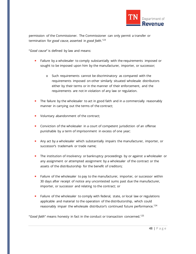

permission of the Commissioner. The Commissioner can only permit a transfer or termination for *good cause*, asserted in *good faith*. [123](#page-73-28)

"*Good cause*" is defined by law and means:

- **Failure by a wholesaler to comply substantially with the requirements imposed or** sought to be imposed upon him by the manufacturer, importer, or successor;
	- o Such requirements cannot be discriminatory as compared with the requirements imposed on other similarly situated wholesale distributors either by their terms or in the manner of their enforcement, and the requirements are not in violation of any law or regulation.
- **The failure by the wholesaler to act in good faith and in a commercially reasonably** manner in carrying out the terms of the contract;
- Voluntary abandonment of the contract;
- **Conviction of the wholesaler in a court of competent jurisdiction of an offense** punishable by a term of imprisonment in excess of one year;
- **Any act by a wholesaler which substantially impairs the manufacturer, importer, or** successor's trademark or trade name;
- **The institution of insolvency or bankruptcy proceedings by or against a wholesaler or** any assignment or attempted assignment by a wholesaler of the contract or the assets of the distributorship for the benefit of creditors;
- **Failure of the wholesaler to pay to the manufacturer, importer, or successor within** 30 days after receipt of notice any uncontested sums past due the manufacturer, importer, or successor and relating to the contract; or
- **Failure of the wholesaler to comply with federal, state, or local law or regulations** applicable and material to the operation of the distributorship, which could reasonably impair the wholesale distributor's continued future performance.<sup>[124](#page-73-29)</sup>

"*Good faith*" means honesty in fact in the conduct or transaction concerned.[125](#page-73-30)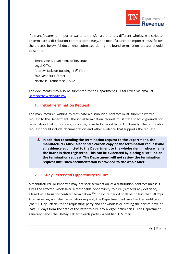

If a manufacturer or importer wants to transfer a brand to a different wholesale distributor or terminate a distribution contract completely, the manufacturer or importer must follow the process below. All documents submitted during the brand termination process should be sent to:

Tennessee Department of Revenue Legal Office Andrew Jackson Building, 11<sup>th</sup> Floor 500 Deaderick Street Nashville, Tennessee 37242

The documents may also be submitted to the Department's Legal Office via email at [Bernadette.Welch@tn.gov.](mailto:Bernadette.Welch@tn.gov) 

#### **1. Initial Termination Request**

The manufacturer wishing to terminate a distribution contract must submit a written request to the Department. The initial termination request must state specific grounds for termination that constitute good cause, asserted in good faith. Additionally, the termination request should include documentation and other evidence that supports the request.

**In addition to sending the termination request to the Department, the manufacturer MUST also send a carbon copy of the termination request and all evidence submitted to the Department to the wholesaler, in whose name the brand is then registered. This can be evidenced by placing a "cc" line on the termination request. The Department will not review the termination request until such documentation is provided to the wholesaler.**

### **2. 30-Day Letterand Opportunity to Cure**

A manufacturer or importer may not seek termination of a distribution contract unless it gives the affected wholesaler a reasonable opportunity to cure (remedy) any deficiency alleged as a basis for contract termination.<sup>[126](#page-73-31)</sup> The cure period shall be no less than 30 days. After receiving an initial termination request, the Department will send written notification (the "30-Day Letter") to the requesting party and the wholesaler stating the parties have at least 30 days from the date of the letter to cure any alleged deficiencies. The Department generally sends the 30-Day Letter to each party via certified U.S. mail.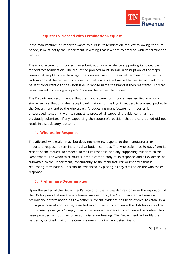

### **3. Request to Proceed with Termination Request**

If the manufacturer or importer wants to pursue its termination request following the cure period, it must notify the Department in writing that it wishes to proceed with its termination request.

The manufacturer or importer may submit additional evidence supporting its stated basis for contract termination. The request to proceed must include a description of the steps taken in attempt to cure the alleged deficiencies. As with the initial termination request, a carbon copy of the request to proceed and all evidence submitted to the Department must be sent concurrently to the wholesaler in whose name the brand is then registered. This can be evidenced by placing a copy "cc" line on the request to proceed.

The Department recommends that the manufacturer or importer use certified mail or a similar service that provides receipt confirmation for mailing its request to proceed packet to the Department and to the wholesaler. A requesting manufacturer or importer is encouraged to submit with its request to proceed all supporting evidence it has not previously submitted, if any, supporting the requester's position that the cure period did not result in a satisfactory outcome.

### **4. Wholesaler Response**

The affected wholesaler may, but does not have to, respond to the manufacturer or importer's request to terminate its distribution contract. The wholesaler has 30 days from its receipt of the request to proceed to mail its response and any supporting evidence to the Department. The wholesaler must submit a carbon copy of its response and all evidence, as submitted to the Department, concurrently to the manufacturer or importer that is requesting termination. This can be evidenced by placing a copy "cc" line on the wholesaler response.

### **5. Preliminary Determination**

Upon the earlier of the Department's receipt of the wholesaler response or the expiration of the 30-day period where the wholesaler may respond, the Commissioner will make a preliminary determination as to whether sufficient evidence has been offered to establish a *prima facie* case of good cause, asserted in good faith, to terminate the distribution contract. In this case, "*prima facie*" simply means that enough evidence to terminate the contract has been provided without having an administrative hearing. The Department will notify the parties by certified mail of the Commissioner's preliminary determination.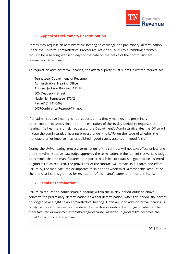

### **6. Appeal of Preliminary Determination**

Parties may request an administrative hearing to challenge the preliminary determination under the Uniform Administrative Procedures Act (the "UAPA") by submitting a written request for a hearing within *10 days* of the date on the notice of the Commissioner's preliminary determination.

To request an administrative hearing, the affected party must submit a written request to:

Tennessee Department of Revenue Administrative Hearing Office Andrew Jackson Building, 11<sup>th</sup> Floor 500 Deaderick Street Nashville, Tennessee 37242 Fax: (615) 741-6463 DORConference.Request@tn.gov

If an administrative hearing is not requested in a timely manner, the preliminary determination becomes final upon the expiration of the 10-day period to request the hearing. If a hearing is timely requested, the Department's Administrative Hearing Office will initiate the administrative hearing process under the UAPA on the issue of whether the manufacturer or importer has established "good cause, asserted in good faith."

During the UAPA hearing process, termination of the contract will not take effect unless and until the Administrative Law Judge approves the termination. If the Administrative Law Judge determines that the manufacturer or importer has failed to establish "good cause, asserted in good faith" as required, the provisions of the contract will remain in full force and effect. Failure by the manufacturer or importer to ship to the wholesaler a reasonable amount of the brand at issue is grounds for revocation of the manufacturer or importer's license.

### **7. Final Determination**

Failure to request an administrative hearing within the 10-day period outlined above converts the preliminary determination to a final determination. After this period, the parties no longer have a right to an administrative hearing. However, if an administrative hearing is timely requested, the decision rendered by the Administrative Law Judge on whether the manufacturer or importer established "good cause, asserted in good faith" becomes the Initial Order of Final Determination.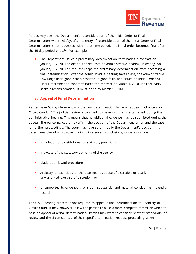

Parties may seek the Department's reconsideration of the Initial Order of Final Determination within *15 days* after its entry. If reconsideration of the Initial Order of Final Determination is not requested within that time period, the initial order becomes final after the 15-day period ends.<sup>[127](#page-73-32)</sup> For example:

**The Department issues a preliminary determination terminating a contract on** January 1, 2020. The distributor requests an administrative hearing, in writing, on January 5, 2020. This request keeps the preliminary determination from becoming a final determination. After the administrative hearing takes place, the Administrative Law Judge finds good cause, asserted in good faith, and issues an Initial Order of Final Determination that terminates the contract on March 1, 2020. If either party seeks a reconsideration, it must do so by March 15, 2020.

#### **8. Appeal of Final Determination**

Parties have 60 days from entry of the final determination to file an appeal in Chancery or Circuit Court.<sup>[128](#page-73-33)</sup> The judicial review is confined to the record that is established during the administrative hearing. This means that no additional evidence may be submitted during the appeal. The reviewing court may affirm the decision of the Department or remand the case for further proceedings. The court may reverse or modify the Department's decision if it determines the administrative findings, inferences, conclusions, or decisions are:

- **In violation of constitutional or statutory provisions;**
- In excess of the statutory authority of the agency;
- **Made upon lawful procedure;**
- **Arbitrary or capricious or characterized by abuse of discretion or clearly** unwarranted exercise of discretion; or
- **Unsupported by evidence that is both substantial and material considering the entire** record.

The UAPA hearing process is not required to appeal a final determination to Chancery or Circuit Court. It may, however, allow the parties to build a more complete record on which to base an appeal of a final determination. Parties may want to consider relevant standard(s) of review and the circumstances of their specific termination request proceeding when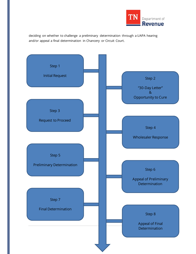

deciding on whether to challenge a preliminary determination through a UAPA hearing and/or appeal a final determination in Chancery or Circuit Court.

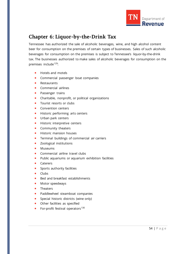

# **Chapter 6: Liquor-by-the-Drink Tax**

Tennessee has authorized the sale of alcoholic beverages, wine, and high alcohol content beer for consumption on the premises of certain types of businesses. Sales of such alcoholic beverages for consumption on the premises is subject to Tennessee's liquor-by-the-drink tax. The businesses authorized to make sales of alcoholic beverages for consumption on the premises include<sup>[129](#page-73-34)</sup>:

- Hotels and motels
- **Commercial passenger boat companies**
- **Restaurants**
- Commercial airlines
- **Passenger trains**
- **EXEC** Charitable, nonprofit, or political organizations
- **T** Tourist resorts or clubs
- Convention centers
- **Historic performing arts centers**
- **Urban park centers**
- **Historic interpretive centers**
- **Community theaters**
- **Historic mansion houses**
- **Terminal buildings of commercial air carriers**
- **zoological institutions**
- **Museums**
- **Commercial airline travel clubs**
- **Public aquariums or aquarium exhibition facilities**
- **Caterers**
- **Sports authority facilities**
- **Clubs**
- Bed and breakfast establishments
- **Motor speedways**
- **Theaters**
- **Paddlewheel steamboat companies**
- **Special historic districts (wine only)**
- **•** Other facilities as specified
- For-profit festival operators $130$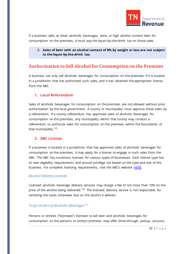

If a business sells, at retail, alcoholic beverages, wine, or high alcohol content beer for consumption on the premises, it must pay the liquor-by-the-drink tax on those sales.

**Sales of beer with an alcohol content of 8% by weight or less are not subject to the liquor-by-the-drink tax.**

# **Authorization to Sell Alcohol for Consumption on the Premises**

A business can only sell alcoholic beverages for consumption on the premises if it is located in a jurisdiction that has authorized such sales, and it has obtained the appropriate license from the ABC.

### **1. Local Referendum**

Sales of alcoholic beverages for consumption on the premises are not allowed without prior authorization by the local government. A county or municipality must approve these sales by a referendum. If a county referendum has approved sales of alcoholic beverages for consumption on the premises, any municipality within that county may conduct a referendum to authorize sales for consumption on the premises within the boundaries of that municipality.<sup>[131](#page-73-36)</sup>

### **2. ABC License**

If a business is located in a jurisdiction that has approved sales of alcoholic beverages for consumption on the premises, it may apply for a license to engage in such sales from the ABC. The ABC has numerous licenses for various types of businesses. Each license type has its own eligibility requirements and annual privilege tax based on the type and size of the business. For complete licensing requirements, visit the ABC's website [HERE.](https://www.tn.gov/abc/licensing/liquor-by-the-drink-licenses.html)

### *Alcohol Delivery Licenses*

Licensed alcoholic beverage delivery services may charge a fee of not more than 10% on the price of the alcohol being delivered.<sup>[132](#page-73-37)</sup> The licensed delivery service is not responsible for remitting the taxes otherwise due on the alcohol it delivers.

# *To-go Orders of Alcoholic Beverages[133](#page-73-38)*

Persons or entities ("licensees") licensed to sell beer and alcoholic beverages for consumption on the person's or entity's premises may offer drive-through, pickup, carryout,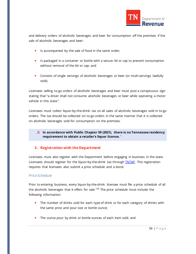

and delivery orders of alcoholic beverages and beer for consumption off the premises if the sale of alcoholic beverages and beer:

- Is accompanied by the sale of food in the same order;
- **If** Is packaged in a container or bottle with a secure lid or cap to prevent consumption without removal of the lid or cap; and
- **Consists of single servings of alcoholic beverages or beer (or multi-servings lawfully** sold).

Licensees selling to-go orders of alcoholic beverages and beer must post a conspicuous sign stating that "a driver shall not consume alcoholic beverages or beer while operating a motor vehicle in this state."

Licensees must collect liquor-by-the-drink tax on all sales of alcoholic beverages sold in to-go orders. The tax should be collected on to-go orders in the same manner that it is collected on alcoholic beverages sold for consumption on the premises.

**In accordance with Public Chapter 59 (2021), there is no Tennessee residency requirement to obtain a retailer's liquor license.** <sup>1</sup>

# **3. Registration with the Department**

Licensees must also register with the Department before engaging in business in the state. Licensees should register for the liquor-by-the-drink tax through **TNTAP**. This registration requires that licensees also submit a price schedule and a bond.

# *Price Schedule*

Prior to entering business, every liquor-by-the-drink licensee must file a price schedule of all the alcoholic beverages that it offers for sale.<sup>[134](#page-73-0)</sup> The price schedule must include the following information:

- The number of drinks sold for each type of drink or for each category of drinks with the same price and pour size or bottle ounce;
- The ounce pour by drink or bottle ounces of each item sold; and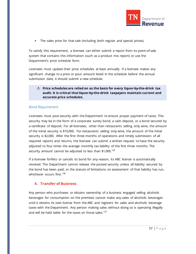

The sales price for that sale (including both regular and special prices).

To satisfy this requirement, a licensee can either submit a report from its point-of-sale system that contains this information (such as a product mix report) or use the Department's price schedule form.

Licensees must update their price schedules at least annually. If a licensee makes any significant change to a price or pour amount listed in the schedule before the annual submission date, it should submit a new schedule.

#### **Price schedules are relied on as the basis for every liquor-by-the-drink tax audit. It is critical that liquor-by-the-drink taxpayers maintain current and accurate price schedules.**

#### *Bond Requirement*

Licensees must post security with the Department to ensure proper payment of taxes. This security may be in the form of a corporate surety bond, a cash deposit, or a bond secured by a certificate of deposit. For all licensees, other than restaurants selling only wine, the amount of the initial security is \$10,000. For restaurants selling only wine, the amount of the initial security is \$2,000. After the first three months of operations and timely submission of all required reports and returns, the licensee can submit a written request to have the security adjusted to four times the average monthly tax liability of the first three months. The security amount cannot be adjusted to less than \$1,000.<sup>[135](#page-73-1)</sup>

If a licensee forfeits or cancels its bond for any reason, its ABC license is automatically revoked. The Department cannot release the posted security unless all liability secured by the bond has been paid, or the statute of limitations on assessment of that liability has run, whichever occurs first.<sup>[136](#page-73-2)</sup>

### **4. Transfer of Business**

Any person who purchases or obtains ownership of a business engaged selling alcoholic beverages for consumption on the premises cannot make any sales of alcoholic beverages until it obtains its own license from the ABC and registers for sales and alcoholic beverage taxes with the Department. Any person making sales without doing so is operating illegally and will be held liable for the taxes on those sales.<sup>[137](#page-73-3)</sup>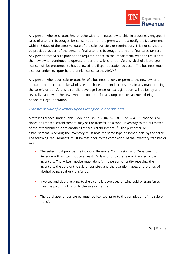

Any person who sells, transfers, or otherwise terminates ownership in a business engaged in sales of alcoholic beverages for consumption on the premises must notify the Department within 15 days of the effective date of the sale, transfer, or termination. This notice should be provided as part of the person's final alcoholic beverage return and final sales tax return. Any person that fails to provide the required notice to the Department, with the result that the new owner continues to operate under the seller's or transferor's alcoholic beverage license, will be presumed to have allowed the illegal operation to occur. The business must also surrender its liquor-by-the-drink license to the ABC.<sup>[138](#page-73-4)</sup>

Any person who, upon sale or transfer of a business, allows or permits the new owner or operator to remit tax, make wholesale purchases, or conduct business in any manner using the seller's or transferor's alcoholic beverage license or tax registration will be jointly and severally liable with the new owner or operator for any unpaid taxes accrued during the period of illegal operation.

### *Transfer or Sale of Inventory upon Closing or Sale of Business*

A retailer licensed under Tenn. Code Ann. §§ 57-3-204, 57-3-803, or 57-4-101 that sells or closes its licensed establishment may sell or transfer its alcohol inventory to the purchaser of the establishment or to another licensed establishment.<sup>[139](#page-73-5)</sup> The purchaser or establishment receiving the inventory must hold the same type of license held by the seller. The following requirements must be met prior to the completion of the inventory transfer or sale:

- **The seller must provide the Alcoholic Beverage Commission and Department of** Revenue with written notice at least 10 days prior to the sale or transfer of the inventory. The written notice must identify the person or entity receiving the inventory, the date of the sale or transfer, and the quantity, types, and brands of alcohol being sold or transferred.
- Invoices and debts relating to the alcoholic beverages or wine sold or transferred must be paid in full prior to the sale or transfer.
- The purchaser or transferee must be licensed prior to the completion of the sale or transfer.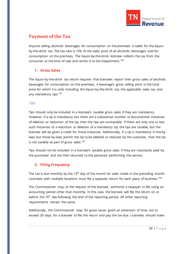

# **Payment of the Tax**

Anyone selling alcoholic beverages for consumption on the premises is liable for the liquorby-the-drink tax. The tax rate is 15% of the sales price of all alcoholic beverages sold for consumption on the premises. The liquor-by-the-drink licensee collects the tax from the consumer at the time of sale and remits it to the Department.<sup>[140](#page-73-6)</sup>

# **1. Gross Sales**

The liquor-by-the-drink tax return requires that licensees report their gross sales of alcoholic beverages for consumption on the premises. A beverage's gross selling price is the total price for which it is sold, including the liquor-by-the-drink tax, the applicable sales tax, and any mandatory tips.<sup>[141](#page-73-7)</sup>

### *Tips*

Tips should only be included in a licensee's taxable gross sales if they are mandatory. However, if a tip is mandatory but there are a substantial number of documented instances of deletion or reduction of the tip, then the tips are nontaxable. If there are only one or two such instances of a reduction or deletion of a mandatory tip, the tips are taxable, but the licensee will be given a credit for those instances. Additionally, if a tip is mandatory in the bylaws but those by-laws permit the tip to be deleted or reduced by the customer, then the tip is not taxable as part of gross sales. $142$ 

Tips should not be included in a licensee's taxable gross sales if they are voluntarily paid by the purchaser and are then returned to the person(s) performing the service.

# **2. Filing Frequency**

The tax is due monthly by the 15<sup>th</sup> day of the month for sales made in the preceding month. Licensees with multiple locations must file a separate return for each place of business.<sup>[143](#page-73-9)</sup>

The Commissioner may, at the request of the licensee, authorize a taxpayer to file using an accounting period other than monthly. In this case, the licensee will file the return on or before the 15<sup>th</sup> day following the end of the reporting period. All other reporting requirements remain the same.

Additionally, the Commissioner may, for good cause, grant an extension of time, not to exceed 30 days, for a licensee to file the return and pay the tax due. Licensees should make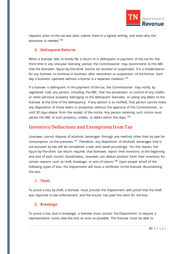

requests prior to the tax due date, submit them in a signed writing, and state why the extension is needed.<sup>[144](#page-73-10)</sup>

# **3. Delinquent Returns**

When a licensee fails to timely file a return or is delinquent in payment of the tax for the third time in any one-year licensing period, the Commissioner may recommend to the ABC that the licensee's liquor-by-the-drink license be revoked or suspended. It is a misdemeanor for any licensee to continue in business after revocation or suspension of the license. Each day a business operates without a license is a separate violation.<sup>[145](#page-73-11)</sup>

If a licensee is delinquent in the payment of the tax, the Commissioner may notify, by registered mail, any person, including the ABC, that has possession or control of any credits or other personal property belonging to the delinquent licensees, or owing any debts to the licensee at the time of the delinquency. If any person is so notified, that person cannot make any disposition of those debts or properties without the approval of the Commissioner, or until 30 days elapse from the receipt of the notice. Any person receiving such notice must advise the ABC of such property, credits, or debts within five days.<sup>[146](#page-73-12)</sup>

# **Inventory Deductions and Exemptions from Tax**

Licensees cannot dispose of alcoholic beverages through any method other than by sale for consumption on the premises.<sup>[147](#page-73-13)</sup> Therefore, any disposition of alcoholic beverages that is not excused by law will be considered a sale and taxed accordingly. For this reason, the liquor-by-the-drink tax return requires that licensees report their inventory at the beginning and end of each month. Nonetheless, licensees can deduct product from their inventory for certain reasons such as theft, breakage, or acts of nature.<sup>[148](#page-73-14)</sup> Upon proper proof of the following types of loss, the Department will issue a certificate to the licensee documenting the loss.

# **1. Theft**

To prove a loss by theft, a licensee must provide the Department with proof that the theft was reported to law enforcement and the insurer has paid the claim for the loss.

# **2. Breakage**

To prove a loss due to breakage, a licensee must contact the Department to request a representative come view the loss as soon as possible. The licensee must be able to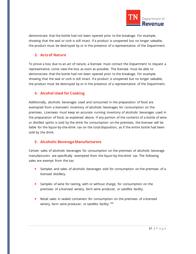

demonstrate that the bottle had not been opened prior to the breakage. For example, showing that the seal or cork is still intact. If a product is unopened but no longer saleable, the product must be destroyed by or in the presence of a representative of the Department.

### **3. Acts of Nature**

To prove a loss due to an act of nature, a licensee must contact the Department to request a representative come view the loss as soon as possible. The licensee must be able to demonstrate that the bottle had not been opened prior to the breakage. For example, showing that the seal or cork is still intact. If a product is unopened but no longer saleable, the product must be destroyed by or in the presence of a representative of the Department.

### **4. Alcohol Used for Cooking**

Additionally, alcoholic beverages used and consumed in the preparation of food are exempted from a licensee's inventory of alcoholic beverages for consumption on the premises. Licensees must keep an accurate running inventory of alcoholic beverages used in the preparation of food, as explained above. If any portion of the contents of a bottle of wine or distilled spirits is sold by the drink for consumption on the premises, the licensee will be liable for the liquor-by-the-drink tax on the total disposition, as if the entire bottle had been sold by the drink.

# **5. Alcoholic Beverage Manufacturers**

Certain sales of alcoholic beverages for consumption on the premises of alcoholic beverage manufacturers are specifically exempted from the liquor-by-the-drink tax. The following sales are exempt from the tax:

- Samples and sales of alcoholic beverages sold for consumption on the premises of a licensed distillery.
- Samples of wine for tasting, with or without charge, for consumption on the premises of a licensed winery, farm wine producer, or satellite facility.
- **Retail sales in sealed containers for consumption on the premises of a licensed** winery, farm wine producer, or satellite facility.<sup>[149](#page-73-15)</sup>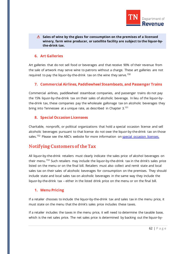

**Sales of wine by the glass for consumption on the premises of a licensed winery, farm wine producer, or satellite facility are subject to the liquor-bythe-drink tax.**

#### **6. Art Galleries**

Art galleries that do not sell food or beverages and that receive 90% of their revenue from the sale of artwork may serve wine to patrons without a charge. These art galleries are not required to pay the liquor-by-the-drink tax on the wine they serve.<sup>[150](#page-73-16)</sup>

#### **7. Commercial Airlines, Paddlewheel Steamboats, and Passenger Trains**

Commercial airlines, paddlewheel steamboat companies, and passenger trains do not pay the 15% liquor-by-the-drink tax on their sales of alcoholic beverage. In lieu of the liquor-bythe-drink tax, these companies pay the wholesale gallonage tax on alcoholic beverages they bring into Tennessee at a unique rate, as described in Chapter 3.<sup>[151](#page-73-17)</sup>

### **8. Special Occasion Licensees**

Charitable, nonprofit, or political organizations that hold a special occasion license and sell alcoholic beverages pursuant to that license do not owe the liquor-by-the-drink tax on those sales.<sup>[152](#page-73-18)</sup> Please see the ABC's website for more information o[n special occasion licenses.](https://www.tn.gov/abc/licensing/liquor-by-the-drink-licenses/special-occasion-licenses--lob-.html)

# **Notifying Customers of the Tax**

All liquor-by-the-drink retailers must clearly indicate the sales price of alcohol beverages on their menu.<sup>[153](#page-73-19)</sup> Such retailers may include the liquor-by-the-drink tax in the drink's sales price listed on the menu or on the final bill. Retailers must also collect and remit state and local sales tax on their sales of alcoholic beverages for consumption on the premises. They should include state and local sales tax on alcoholic beverages in the same way they include the liquor-by-the-drink tax – either in the listed drink price on the menu or on the final bill.

### **1. Menu Pricing**

If a retailer chooses to include the liquor-by-the-drink tax and sales tax in the menu price, it must state on the menu that the drink's sales price includes these taxes.

If a retailer includes the taxes in the menu price, it will need to determine the taxable base, which is the net sales price. The net sales price is determined by backing out the liquor-by-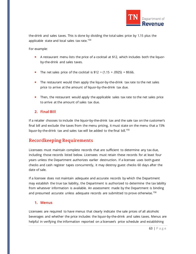

the-drink and sales taxes. This is done by dividing the total sales price by 1.15 plus the applicable state and local sales tax rate.<sup>[154](#page-73-20)</sup>

For example:

- A restaurant menu lists the price of a cocktail at \$12, which includes both the liquorby-the-drink and sales taxes.
- The net sales price of the cocktail is  $$12 \div (1.15 + .0925) = $9.66$ .
- The restaurant would then apply the liquor-by-the-drink tax rate to the net sales price to arrive at the amount of liquor-by-the-drink tax due.
- Then, the restaurant would apply the applicable sales tax rate to the net sales price to arrive at the amount of sales tax due.

### **2. Final Bill**

If a retailer chooses to include the liquor-by-the-drink tax and the sale tax on the customer's final bill and exclude the taxes from the menu pricing, it must state on the menu that a 15% liquor-by-the-drink tax and sales tax will be added to the final bill.<sup>[155](#page-73-21)</sup>

# **Recordkeeping Requirements**

Licensees must maintain complete records that are sufficient to determine any tax due, including those records listed below. Licensees must retain these records for at least four years unless the Department authorizes earlier destruction. If a licensee uses both guest checks and cash register tapes concurrently, it may destroy guest checks 60 days after the date of sale.

If a licensee does not maintain adequate and accurate records by which the Department may establish the true tax liability, the Department is authorized to determine the tax lability from whatever information is available. An assessment made by the Department is binding and presumed accurate unless adequate records are submitted to prove otherwise.<sup>[156](#page-73-22)</sup>

### **1. Menus**

Licensees are required to have menus that clearly indicate the sale prices of all alcoholic beverages and whether the price includes the liquor-by-the-drink and sales taxes. Menus are helpful in verifying the information reported on a licensee's price schedule and establishing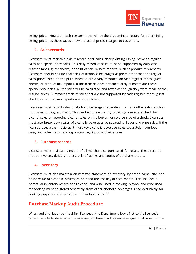

selling prices. However, cash register tapes will be the predominate record for determining selling prices, as those tapes show the actual prices charged to customers.

### **2. Sales records**

Licensees must maintain a daily record of all sales, clearly distinguishing between regular sales and special price sales. This daily record of sales must be supported by daily cash register tapes, guest checks, or point-of-sale system reports, such as product mix reports. Licensees should ensure that sales of alcoholic beverages at prices other than the regular sales prices listed on the price schedule are clearly recorded on cash register tapes, guest checks, or product mix reports. If the licensee does not adequately substantiate these special price sales, all the sales will be calculated and taxed as though they were made at the regular prices. Summary totals of sales that are not supported by cash register tapes, guest checks, or product mix reports are not sufficient.

Licensees must record sales of alcoholic beverages separately from any other sales, such as food sales, on a guest check. This can be done either by providing a separate check for alcohol sales or recording alcohol sales on the bottom or reverse side of a check. Licensees must also break down sales of alcoholic beverages by separating liquor and wine sales. If the licensee uses a cash register, it must key alcoholic beverage sales separately from food, beer, and other items, and separately key liquor and wine sales.

### **3. Purchase records**

Licensees must maintain a record of all merchandise purchased for resale. These records include invoices, delivery tickets, bills of lading, and copies of purchase orders.

# **4. Inventory**

Licensees must also maintain an itemized statement of inventory, by brand name, size, and dollar value of alcoholic beverages on hand the last day of each month. This includes a perpetual inventory record of all alcohol and wine used in cooking. Alcohol and wine used for cooking must be stored separately from other alcoholic beverages, used exclusively for cooking purposes, and accounted for as food costs.<sup>[157](#page-73-23)</sup>

# **Purchase Markup Audit Procedure**

When auditing liquor-by-the-drink licensees, the Department looks first to the licensee's price schedule to determine the average purchase markup on beverages sold based on the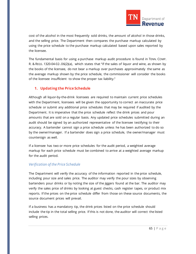

cost of the alcohol in the most frequently sold drinks, the amount of alcohol in those drinks, and the selling price. The Department then compares the purchase markup calculated by using the price schedule to the purchase markup calculated based upon sales reported by the licensee.

The fundamental basis for using a purchase markup audit procedure is found in TENN. COMP. R. & REGS. 1320-04-02-.06(2)(a), which states that "if the sales of liquor and wine, as shown by the books of the licensee, do not bear a markup over purchases approximately the same as the average markup shown by the price schedule, the commissioner will consider the books of the licensee insufficient to show the proper tax liability."

### **1. Updating the Price Schedule**

Although all liquor-by-the-drink licensees are required to maintain current price schedules with the Department, licensees will be given the opportunity to correct an inaccurate price schedule or submit any additional price schedules that may be required if audited by the Department. It is imperative that the price schedule reflect the drink prices and pour amounts that are sold on a regular basis. Any updated price schedules submitted during an audit should be signed by an authorized representative of the licensee testifying to their accuracy. A bartender cannot sign a price schedule unless he has been authorized to do so by the owner/manager. If a bartender does sign a price schedule, the owner/manager must countersign as well.

If a licensee has two or more price schedules for the audit period, a weighted average markup for each price schedule must be combined to arrive at a weighted average markup for the audit period.

### *Verification of the Price Schedule*

The Department will verify the accuracy of the information reported in the price schedule, including pour size and sales price. The auditor may verify the pour sizes by observing bartenders pour drinks or by noting the size of the jiggers found at the bar. The auditor may verify the sales price of drinks by looking at guest checks, cash register tapes, or product mix reports. If the prices on the price schedule differ from those on these source documents, the source document prices will prevail.

If a business has a mandatory tip, the drink prices listed on the price schedule should include the tip in the total selling price. If this is not done, the auditor will correct the listed selling prices.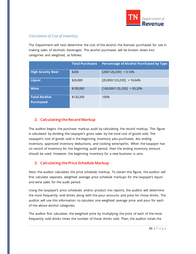

# *Calculation of Cost of Inventory*

The Department will next determine the cost of the alcohol the licensee purchased for use in making sales of alcoholic beverages. The alcohol purchases will be broken down into categories and weighted, as follows:

|                                          | <b>Total Purchases</b> | Percentage of Alcohol Purchased by Type |
|------------------------------------------|------------------------|-----------------------------------------|
| <b>High Gravity Beer</b>                 | \$200                  | $[200/120, 200] = 0.16\%$               |
| <b>Liquor</b>                            | \$20,000               | $[20,000/120,200] = 16.64\%$            |
| <b>Wine</b>                              | \$100,000              | $[100,000/120,200] = 83.20\%$           |
| <b>Total Alcohol</b><br><b>Purchased</b> | \$120,200              | 100%                                    |

# **2. Calculating the Record Markup**

The auditor begins the purchase markup audit by calculating the record markup. This figure is calculated by dividing the taxpayer's gross sales by the total cost of goods sold. The taxpayer's cost of goods sold is the beginning inventory *plus* purchases, *less* ending inventory, approved inventory deductions, and cooking wine/spirits. When the taxpayer has no record of inventory for the beginning audit period, then the ending inventory amount should be used. However, the beginning inventory for a new business is zero.

# **3. Calculating the Price Schedule Markup**

Next, the auditor calculates the price schedule markup. To obtain this figure, the auditor will first calculate separate, weighted average price schedule markups for the taxpayer's liquor and wine sales for the audit period.

Using the taxpayer's price schedules and/or product mix reports, the auditor will determine the most frequently sold drinks along with the pour amounts and price for those drinks. The auditor will use this information to calculate one weighted average price and pour for each of the above alcohol categories.

The auditor first calculates the weighted price by multiplying the price of each of the most frequently sold drinks times the number of those drinks sold. Then, the auditor totals the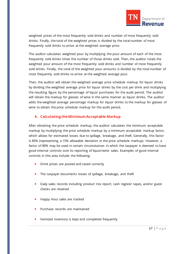

weighted prices of the most frequently sold drinks and number of most frequently sold drinks. Finally, the total of the weighted prices is divided by the total number of most frequently sold drinks to arrive at the weighted average price.

The auditor calculates weighted pour by multiplying the pour amount of each of the most frequently sold drinks times the number of those drinks sold. Then, the auditor totals the weighted pour amount of the most frequently sold drinks and number of most frequently sold drinks. Finally, the total of the weighted pour amounts is divided by the total number of most frequently sold drinks to arrive at the weighted average pour.

Then, the auditor will obtain the weighted average price schedule markup for liquor drinks by dividing the weighted average price for liquor drinks by the cost per drink and multiplying the resulting figure by the percentage of liquor purchases for the audit period. The auditor will obtain the markup for glasses of wine in the same manner as liquor drinks. The auditor adds the weighted average percentage markup for liquor drinks to the markup for glasses of wine to obtain the price schedule markup for the audit period.

### **4. Calculating the Minimum Acceptable Markup**

After obtaining the price schedule markup, the auditor calculates the minimum acceptable markup by multiplying the price schedule markup by a minimum acceptable markup factor, which allows for estimated losses due to spillage, breakage, and theft. Generally, this factor is 85% (representing a 15% allowable deviation in the price schedule markup). However, a factor of 80% may be used in certain circumstances in which the taxpayer is deemed to have good internal controls over its reporting of liquor/wine sales. Examples of good internal controls in this area include the following:

- **Drink prices are posted and taxed correctly**
- The taxpayer documents losses of spillage, breakage, and theft
- **Daily sales records including product mix report, cash register tapes, and/or guest** checks are retained
- Happy Hour sales are tracked
- Purchase records are maintained
- **If the inventory is kept and completed frequently**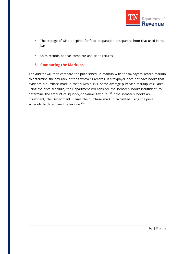

- The storage of wine or spirits for food preparation is separate from that used in the bar
- **Sales records appear complete and tie to returns**

### **5. Comparing the Markups**

The auditor will then compare the price schedule markup with the taxpayer's record markup to determine the accuracy of the taxpayer's records. If a taxpayer does not have books that evidence a purchase markup that is within 15% of the average purchase markup calculated using the price schedule, the Department will consider the licensee's books insufficient to determine the amount of liquor-by-the-drink tax due.<sup>[158](#page-73-24)</sup> If the licensee's books are insufficient, the Department utilizes the purchase markup calculated using the price schedule to determine the tax due.<sup>[159](#page-73-39)</sup>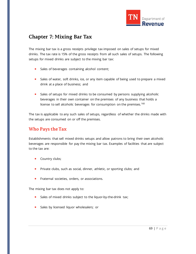

# **Chapter 7: Mixing Bar Tax**

The mixing bar tax is a gross receipts privilege tax imposed on sales of setups for mixed drinks. The tax rate is 15% of the gross receipts from all such sales of setups. The following setups for mixed drinks are subject to the mixing bar tax:

- Sales of beverages containing alcohol content;
- **Sales of water, soft drinks, ice, or any item capable of being used to prepare a mixed** drink at a place of business; and
- **Sales of setups for mixed drinks to be consumed by persons supplying alcoholic** beverages in their own container on the premises of any business that holds a license to sell alcoholic beverages for consumption on the premises.<sup>[160](#page-73-40)</sup>

The tax is applicable to any such sales of setups, regardless of whether the drinks made with the setups are consumed on or off the premises.

# **Who Pays the Tax**

Establishments that sell mixed drinks setups and allow patrons to bring their own alcoholic beverages are responsible for pay the mixing bar tax. Examples of facilities that are subject to the tax are:

- **Country clubs;**
- Private clubs, such as social, dinner, athletic, or sporting clubs; and
- **Fraternal societies, orders, or associations.**

The mixing bar tax does not apply to:

- Sales of mixed drinks subject to the liquor-by-the-drink tax;
- **Sales by licensed liquor wholesalers; or**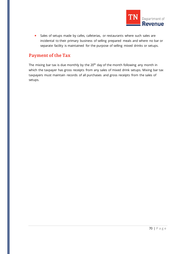

Sales of setups made by cafes, cafeterias, or restaurants where such sales are incidental to their primary business of selling prepared meals and where no bar or separate facility is maintained for the purpose of selling mixed drinks or setups.

# **Payment of the Tax**

The mixing bar tax is due monthly by the  $20<sup>th</sup>$  day of the month following any month in which the taxpayer has gross receipts from any sales of mixed drink setups. Mixing bar tax taxpayers must maintain records of all purchases and gross receipts from the sales of setups.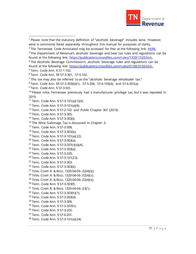

 $<sup>1</sup>$  Please note that the statutory definition of "alcoholic beverage" includes wine. However,</sup> wine is commonly listed separately throughout this manual for purposes of clarity.

 The Department of Revenue's alcoholic beverage and beer tax rules and regulations can be found at the following link: [https://publications.tnsosfiles.com/rules/1320/1320.htm.](https://publications.tnsosfiles.com/rules/1320/1320.htm)

<sup>4</sup> The Alcoholic Beverage Commission's alcoholic beverage rules and regulations can be found at the following link: [https://publications.tnsosfiles.com/rules/0100/0100.htm.](https://publications.tnsosfiles.com/rules/0100/0100.htm)

Tenn. Code Ann. § 57-1-102.

- Tenn. Code Ann. § 57-3-101(a)(1)(A).
- Tenn. Code Ann. § 57-3-101(a)(8).
- Tenn. Code Ann. § 57-2-102 and Public Chapter 301 (2019).
- Tenn. Code Ann. § 57-3-305.
- Tenn. Code Ann. § 57-3-303(l).
- <sup>16</sup> The Wine Gallonage Tax is discussed in Chapter 3.
- Tenn. Code Ann. § 57-3-308.
- Tenn. Code Ann. § 57-3-302(b).
- Tenn. Code Ann. § 57-3-101(a)(22).
- Tenn. Code Ann. § 57-3-303(a).
- Tenn. Code Ann. § 57-3-207(r)(6)(A).
- Tenn. Code Ann. § 57-3-303(a).
- Tenn. Code Ann. § 57-3-220.
- Tenn. Code Ann. § 57-3-101(23).
- Tenn. Code Ann. § 57-3-303.
- Tenn. Code Ann. § 57-3-303(k).
- TENN. COMP.R. & REGS. 1320-04-06-.02(4)(b).
- TENN. COMP.R. & REGS. 1320-04-06-.02(4)(c).
- TENN. COMP.R. & REGS. 1320-04-06-.02(4)(e).
- Tenn. Code Ann. § 57-3-303(f).
- TENN. COMP.R. & REGS. 1320-04-06-.03(1).
- Tenn. Code Ann. § 57-3-303(h)(1).
- 33 Tenn. Code Ann. § 57-3-303(d).
- Tenn. Code Ann. § 57-3-306.
- Tenn. Code Ann. § 57-3-207(h).
- Tenn. Code Ann. § 57-3-202.
- Tenn. Code Ann. § 57-6-201.
- Tenn. Code Ann. § 57-3-101(a)(24).

The Tennessee Code Annotated may be accessed for free at the following link: [HERE.](https://advance.lexis.com/container?config=014CJAA5ZGVhZjA3NS02MmMzLTRlZWQtOGJjNC00YzQ1MmZlNzc2YWYKAFBvZENhdGFsb2e9zYpNUjTRaIWVfyrur9ud&crid=df4206ac-948a-487a-8a8a-8e2c48b8be80&prid=d4c835c1-112a-44d3-b572-9c4bed4ee970)

Tenn. Code Ann. §§ 57-3-301, 57-5-102.

This tax may also be referred to as the "alcoholic beverage wholesaler tax."

Tenn. Code Ann. §§ 57-3-303(b)(1), 57-5-206, 57-6-103(d), and 57-6-201(a).

Tenn. Code Ann. § 57-3-501.

 Please note, Tennessee previously had a manufacturer privilege tax, but it was repealed in 2019.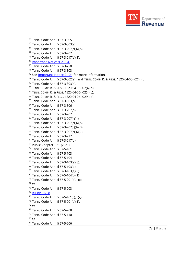

 Tenn. Code Ann. § 57-3-305. Tenn. Code Ann. § 57-3-303(a). Tenn. Code Ann. § 57-3-207(r)(6)(A). Tenn. Code Ann. § 57-3-207. Tenn. Code Ann. § 57-3-217(e)(1). [Important Notice # 21-04.](https://www.tn.gov/content/dam/tn/revenue/documents/notices/alcohol/21-04.pdf) Tenn. Code Ann. § 57-3-220. Tenn. Code Ann. § 57-3-303. <sup>47</sup> See [Important Notice 21-04](https://www.tn.gov/content/dam/tn/revenue/documents/notices/alcohol/21-04.pdf) for more information. Tenn. Code Ann. § 57-3-302(a) and TENN. COMP.R. & REGS. 1320-04-06-.02(4)(d). Tenn. Code Ann. § 57-3-303(k). TENN. COMP.R. & REGS. 1320-04-06-.02(4)(b). TENN. COMP.R. & REGS. 1320-04-06-.02(4)(c). TENN. COMP.R. & REGS. 1320-04-06-.02(4)(e). Tenn. Code Ann. § 57-3-303(f). Tenn. Code Ann. § 57-3-306. Tenn. Code Ann. § 57-3-207(h). Tenn. Code Ann. § 57-3-207. Tenn. Code Ann. § 57-3-207(r)(1). Tenn. Code Ann. § 57-3-207(r)(6)(A). Tenn. Code Ann. § 57-3-207(r)(6)(B). Tenn. Code Ann. § 57-3-207(r)(6)(C). Tenn. Code Ann. § 57-3-217. Tenn. Code Ann. § 57-3-217(d). Public Chapter 331 (2021). Tenn. Code Ann. § 57-5-101. Tenn. Code Ann. § 57-5-103. Tenn. Code Ann. § 57-5-104. Tenn. Code Ann. § 57-3-103(a)(3). Tenn. Code Ann. § 57-5-103(d). Tenn. Code Ann. § 57-3-103(a)(6). Tenn. Code Ann. § 57-5-104(b)(1). Tenn. Code Ann. § 57-5-201(a), (c). *Id.*  Tenn. Code Ann. § 57-5-203. [Ruling 16-08.](https://www.tn.gov/content/dam/tn/revenue/documents/rulings/misc/16-08ms.pdf)  Tenn. Code Ann. § 57-5-101(c), (g). Tenn. Code Ann. § 57-5-201(a)(1). *Id*. Tenn. Code Ann. § 57-5-208. Tenn. Code Ann. § 57-5-110. *Id.* Tenn. Code Ann. § 57-5-206.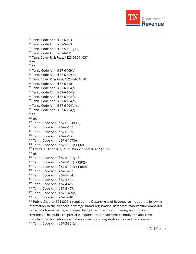

 Tenn. Code Ann. § 57-6-103. Tenn. Code Ann. § 57-5-203. Tenn. Code Ann. § 57-5-101(g)(4). Tenn. Code Ann. § 57-6-111. TENN. COMP.R. & REGS. 1320-04-01-.03(1). *Id*. *Id.* Tenn. Code Ann. § 57-6-109(a). Tenn. Code Ann. § 57-6-109(b). 91 TENN. COMP. R. & REGS. 1320-04-01-.10. Tenn. Code Ann. § 57-6-110. 93 Tenn. Code Ann. § 57-6-104(f). Tenn. Code Ann. § 57-6-104(e). <sup>95</sup> Tenn. Code Ann. § 57-6-104(f). 96 Tenn. Code Ann. § 57-6-104(d). 97 Tenn. Code Ann. § 57-6-104(a)-(b). 98 Tenn. Code Ann. § 57-6-104(c). *Id. Id*. Tenn. Code Ann. § 57-6-104(c)(4). Tenn. Code Ann. § 57-6-107. Tenn. Code Ann. § 57-6-105. Tenn. Code Ann. § 57-6-106. Tenn. Code Ann. § 57-6-107(b). Tenn. Code Ann. § 57-5-101(c)(1)(A). <sup>107</sup> Effective October 1, 2021. Public Chapter 432 (2021). *Id.*  Tenn. Code Ann. § 57-5-101(g)(5). Tenn. Code Ann. § 57-5-101(c)(1)(B)(i). Tenn. Code Ann. § 57-5-101(c)(1)(B)(ii). Tenn. Code Ann. § 57-5-402. Tenn. Code Ann. § 57-5-404. Tenn. Code Ann. § 57-5-401. Tenn. Code Ann. § 57-4-405. Tenn. Code Ann. § 57-5-407. Tenn. Code Ann. § 57-5-409(c). Tenn. Code Ann. § 57-5-410. Public Chapter 324 (2021) requires the Department of Revenue to include the following

information in the alcoholic beverage brand registration database: manufacturer/importer name, wholesaler name, addresses for both entities, brand names, and distribution territories. This public chapter also requires the Department to notify the applicable manufacturer and wholesaler when a new brand registration contract is processed. Tenn. Code Ann. § 57-3-301(a).